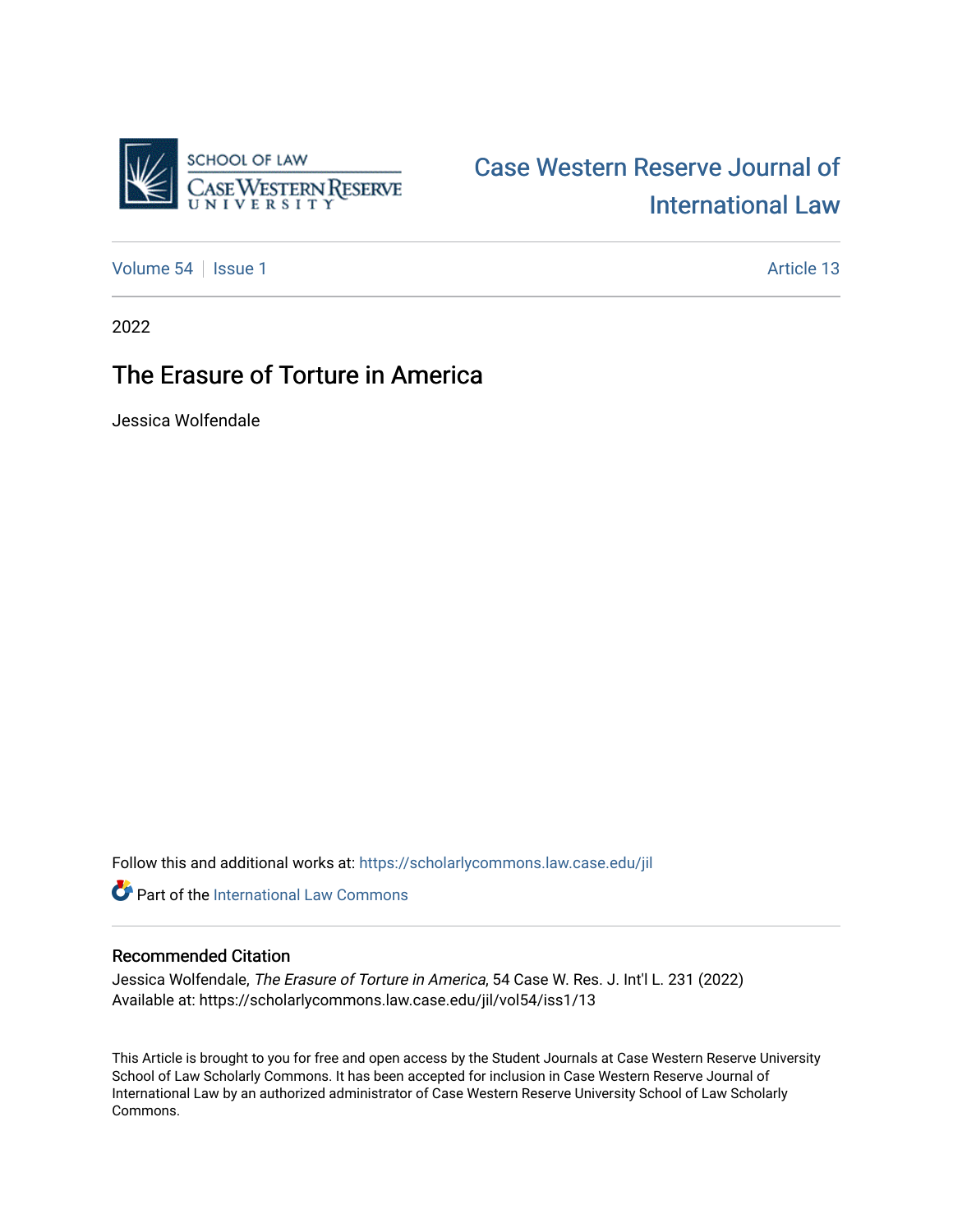

## [Case Western Reserve Journal of](https://scholarlycommons.law.case.edu/jil)  [International Law](https://scholarlycommons.law.case.edu/jil)

[Volume 54](https://scholarlycommons.law.case.edu/jil/vol54) | [Issue 1](https://scholarlycommons.law.case.edu/jil/vol54/iss1) Article 13

2022

### The Erasure of Torture in America

Jessica Wolfendale

Follow this and additional works at: [https://scholarlycommons.law.case.edu/jil](https://scholarlycommons.law.case.edu/jil?utm_source=scholarlycommons.law.case.edu%2Fjil%2Fvol54%2Fiss1%2F13&utm_medium=PDF&utm_campaign=PDFCoverPages) 

**Part of the International Law Commons** 

#### Recommended Citation

Jessica Wolfendale, The Erasure of Torture in America, 54 Case W. Res. J. Int'l L. 231 (2022) Available at: https://scholarlycommons.law.case.edu/jil/vol54/iss1/13

This Article is brought to you for free and open access by the Student Journals at Case Western Reserve University School of Law Scholarly Commons. It has been accepted for inclusion in Case Western Reserve Journal of International Law by an authorized administrator of Case Western Reserve University School of Law Scholarly Commons.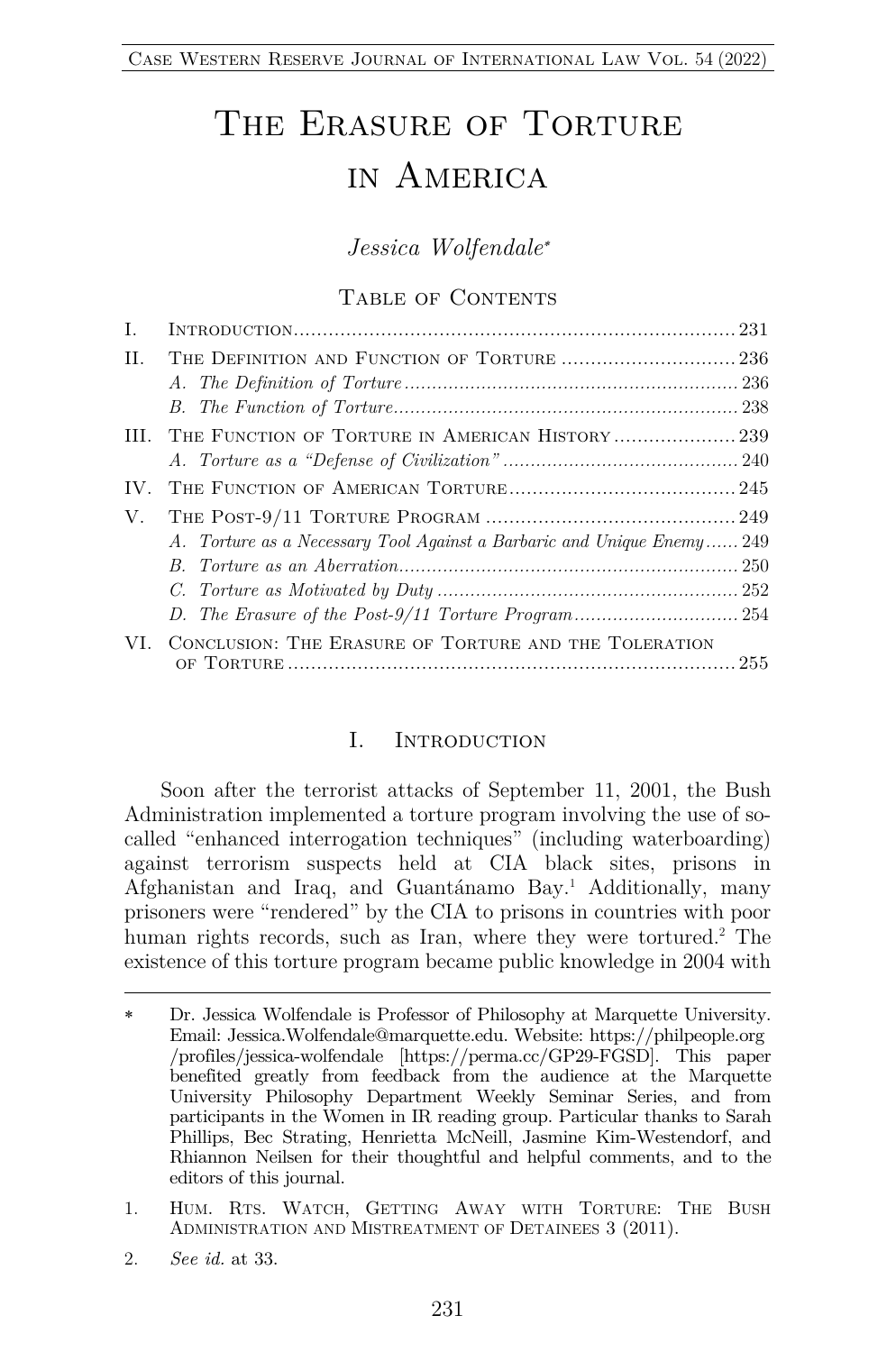# THE ERASURE OF TORTURE in America

*Jessica Wolfendale*\*

#### TABLE OF CONTENTS

| $\mathbf{I}$ . |                                                                        |  |
|----------------|------------------------------------------------------------------------|--|
| H.             |                                                                        |  |
|                |                                                                        |  |
|                |                                                                        |  |
|                | III. THE FUNCTION OF TORTURE IN AMERICAN HISTORY239                    |  |
|                |                                                                        |  |
| IV.            |                                                                        |  |
| V.             |                                                                        |  |
|                | A. Torture as a Necessary Tool Against a Barbaric and Unique Enemy 249 |  |
|                |                                                                        |  |
|                |                                                                        |  |
|                |                                                                        |  |
| VL.            | CONCLUSION: THE ERASURE OF TORTURE AND THE TOLERATION                  |  |
|                |                                                                        |  |

#### I. INTRODUCTION

Soon after the terrorist attacks of September 11, 2001, the Bush Administration implemented a torture program involving the use of socalled "enhanced interrogation techniques" (including waterboarding) against terrorism suspects held at CIA black sites, prisons in Afghanistan and Iraq, and Guantánamo Bay.1 Additionally, many prisoners were "rendered" by the CIA to prisons in countries with poor human rights records, such as Iran, where they were tortured.<sup>2</sup> The existence of this torture program became public knowledge in 2004 with

<sup>\*</sup> Dr. Jessica Wolfendale is Professor of Philosophy at Marquette University. Email: Jessica.Wolfendale@marquette.edu. Website: https://philpeople.org /profiles/jessica-wolfendale [https://perma.cc/GP29-FGSD]. This paper benefited greatly from feedback from the audience at the Marquette University Philosophy Department Weekly Seminar Series, and from participants in the Women in IR reading group. Particular thanks to Sarah Phillips, Bec Strating, Henrietta McNeill, Jasmine Kim-Westendorf, and Rhiannon Neilsen for their thoughtful and helpful comments, and to the editors of this journal.

<sup>1.</sup> HUM. RTS. WATCH, GETTING AWAY WITH TORTURE: THE BUSH ADMINISTRATION AND MISTREATMENT OF DETAINEES 3 (2011).

<sup>2.</sup> *See id.* at 33.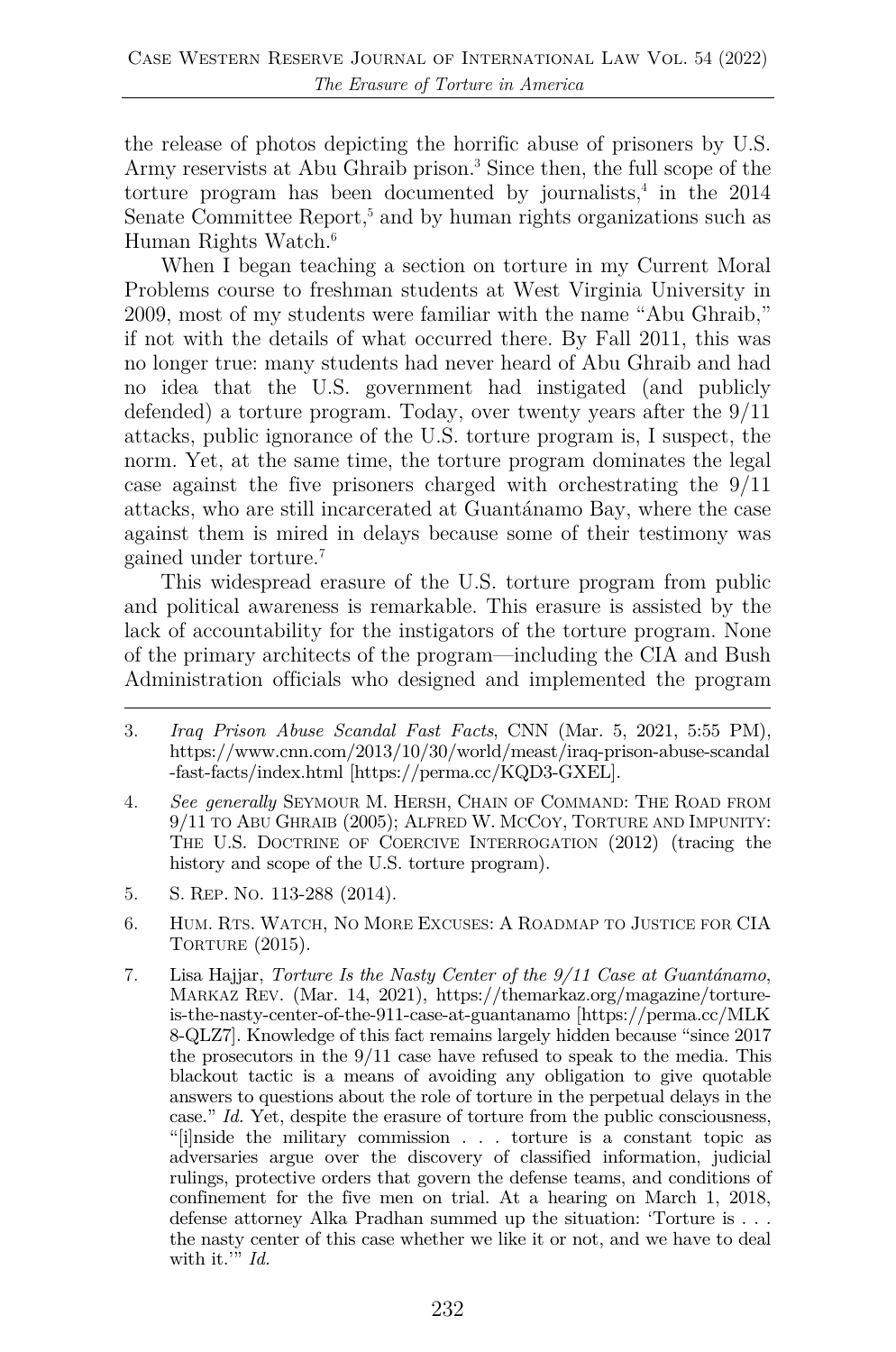the release of photos depicting the horrific abuse of prisoners by U.S. Army reservists at Abu Ghraib prison.<sup>3</sup> Since then, the full scope of the torture program has been documented by journalists, $4$  in the 2014 Senate Committee Report,<sup>5</sup> and by human rights organizations such as Human Rights Watch.<sup>6</sup>

When I began teaching a section on torture in my Current Moral Problems course to freshman students at West Virginia University in 2009, most of my students were familiar with the name "Abu Ghraib," if not with the details of what occurred there. By Fall 2011, this was no longer true: many students had never heard of Abu Ghraib and had no idea that the U.S. government had instigated (and publicly defended) a torture program. Today, over twenty years after the 9/11 attacks, public ignorance of the U.S. torture program is, I suspect, the norm. Yet, at the same time, the torture program dominates the legal case against the five prisoners charged with orchestrating the 9/11 attacks, who are still incarcerated at Guantánamo Bay, where the case against them is mired in delays because some of their testimony was gained under torture.7

This widespread erasure of the U.S. torture program from public and political awareness is remarkable. This erasure is assisted by the lack of accountability for the instigators of the torture program. None of the primary architects of the program—including the CIA and Bush Administration officials who designed and implemented the program

- 3. *Iraq Prison Abuse Scandal Fast Facts*, CNN (Mar. 5, 2021, 5:55 PM), https://www.cnn.com/2013/10/30/world/meast/iraq-prison-abuse-scandal -fast-facts/index.html [https://perma.cc/KQD3-GXEL].
- 4. *See generally* SEYMOUR M. HERSH, CHAIN OF COMMAND: THE ROAD FROM 9/11 TO ABU GHRAIB (2005); ALFRED W. MCCOY, TORTURE AND IMPUNITY: THE U.S. DOCTRINE OF COERCIVE INTERROGATION (2012) (tracing the history and scope of the U.S. torture program).
- 5. S. REP. NO. 113-288 (2014).
- 6. HUM. RTS. WATCH, NO MORE EXCUSES: A ROADMAP TO JUSTICE FOR CIA TORTURE (2015).
- 7. Lisa Hajjar, *Torture Is the Nasty Center of the 9/11 Case at Guantánamo*, MARKAZ REV. (Mar. 14, 2021), https://themarkaz.org/magazine/tortureis-the-nasty-center-of-the-911-case-at-guantanamo [https://perma.cc/MLK 8-QLZ7]. Knowledge of this fact remains largely hidden because "since 2017 the prosecutors in the 9/11 case have refused to speak to the media. This blackout tactic is a means of avoiding any obligation to give quotable answers to questions about the role of torture in the perpetual delays in the case." *Id.* Yet, despite the erasure of torture from the public consciousness, "[i]nside the military commission . . . torture is a constant topic as adversaries argue over the discovery of classified information, judicial rulings, protective orders that govern the defense teams, and conditions of confinement for the five men on trial. At a hearing on March 1, 2018, defense attorney Alka Pradhan summed up the situation: 'Torture is . . . the nasty center of this case whether we like it or not, and we have to deal with it.'" *Id.*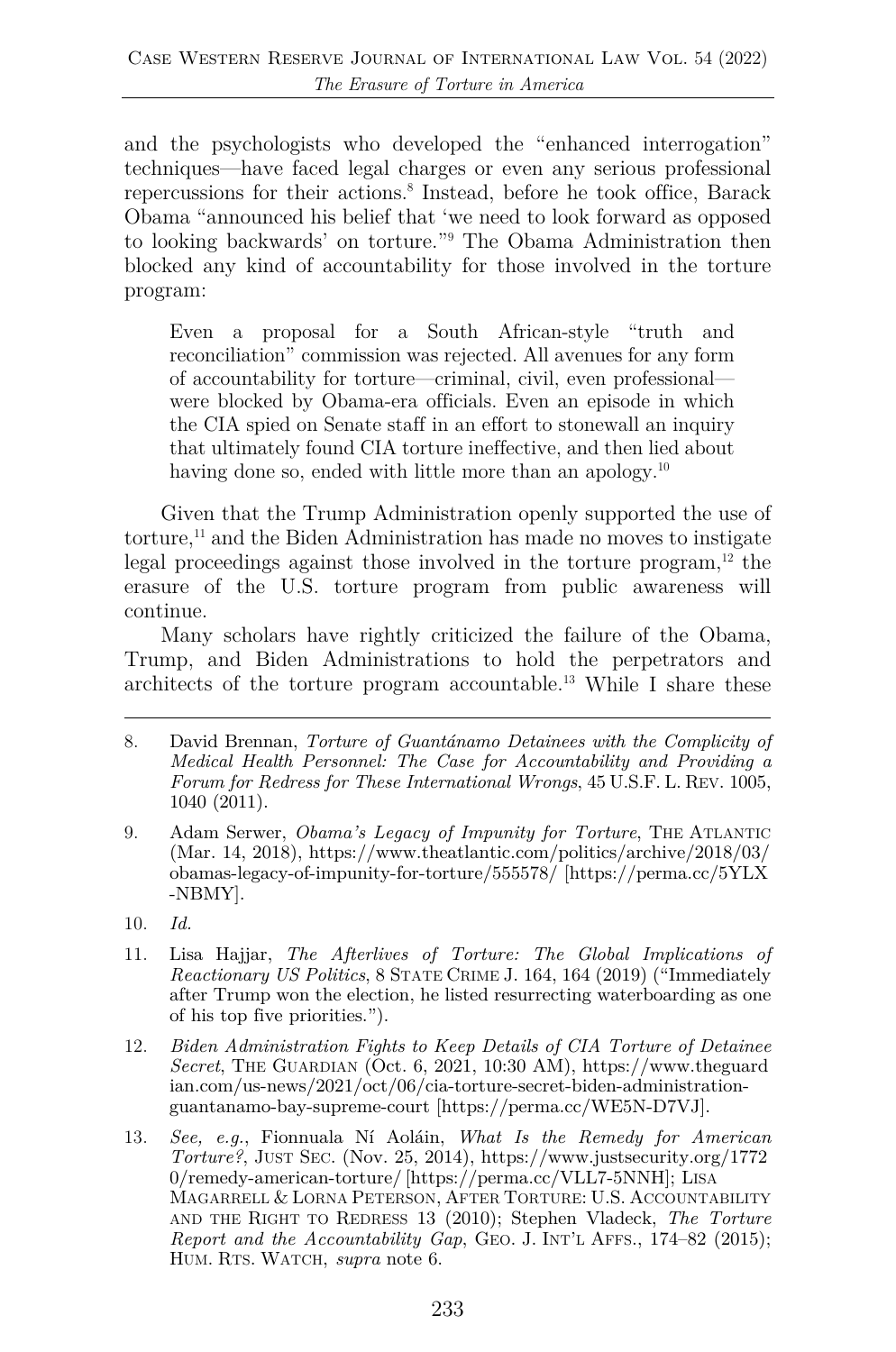and the psychologists who developed the "enhanced interrogation" techniques—have faced legal charges or even any serious professional repercussions for their actions.<sup>8</sup> Instead, before he took office, Barack Obama "announced his belief that 'we need to look forward as opposed to looking backwards' on torture."9 The Obama Administration then blocked any kind of accountability for those involved in the torture program:

Even a proposal for a South African-style "truth and reconciliation" commission was rejected. All avenues for any form of accountability for torture—criminal, civil, even professional were blocked by Obama-era officials. Even an episode in which the CIA spied on Senate staff in an effort to stonewall an inquiry that ultimately found CIA torture ineffective, and then lied about having done so, ended with little more than an apology.<sup>10</sup>

Given that the Trump Administration openly supported the use of torture,<sup>11</sup> and the Biden Administration has made no moves to instigate legal proceedings against those involved in the torture program, $12$  the erasure of the U.S. torture program from public awareness will continue.

Many scholars have rightly criticized the failure of the Obama, Trump, and Biden Administrations to hold the perpetrators and architects of the torture program accountable.13 While I share these

- 8. David Brennan, *Torture of Guantánamo Detainees with the Complicity of Medical Health Personnel: The Case for Accountability and Providing a Forum for Redress for These International Wrongs*, 45 U.S.F. L. REV. 1005, 1040 (2011).
- 9. Adam Serwer, *Obama's Legacy of Impunity for Torture*, THE ATLANTIC (Mar. 14, 2018), https://www.theatlantic.com/politics/archive/2018/03/ obamas-legacy-of-impunity-for-torture/555578/ [https://perma.cc/5YLX -NBMY].
- 10. *Id.*
- 11. Lisa Hajjar, *The Afterlives of Torture: The Global Implications of Reactionary US Politics*, 8 STATE CRIME J. 164, 164 (2019) ("Immediately after Trump won the election, he listed resurrecting waterboarding as one of his top five priorities.").
- 12. *Biden Administration Fights to Keep Details of CIA Torture of Detainee Secret*, THE GUARDIAN (Oct. 6, 2021, 10:30 AM), https://www.theguard ian.com/us-news/2021/oct/06/cia-torture-secret-biden-administrationguantanamo-bay-supreme-court [https://perma.cc/WE5N-D7VJ].
- 13. *See, e.g.*, Fionnuala Ní Aoláin, *What Is the Remedy for American Torture?*, JUST SEC. (Nov. 25, 2014), https://www.justsecurity.org/1772 0/remedy-american-torture/ [https://perma.cc/VLL7-5NNH]; LISA MAGARRELL & LORNA PETERSON, AFTER TORTURE: U.S. ACCOUNTABILITY AND THE RIGHT TO REDRESS 13 (2010); Stephen Vladeck, *The Torture Report and the Accountability Gap*, GEO. J. INT'L AFFS., 174–82 (2015); HUM. RTS. WATCH, *supra* note 6.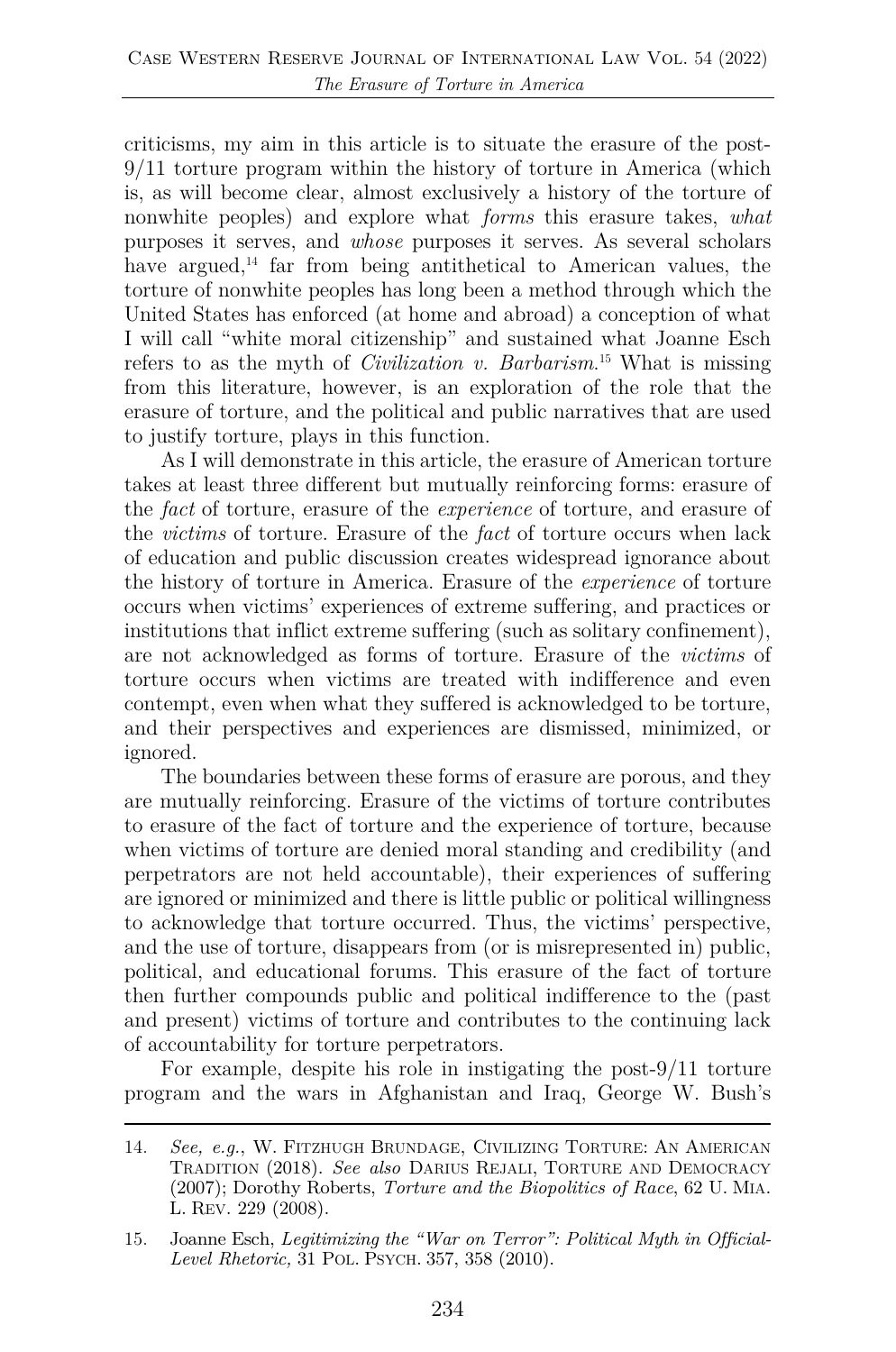criticisms, my aim in this article is to situate the erasure of the post-9/11 torture program within the history of torture in America (which is, as will become clear, almost exclusively a history of the torture of nonwhite peoples) and explore what *forms* this erasure takes, *what* purposes it serves, and *whose* purposes it serves. As several scholars have argued, $^{14}$  far from being antithetical to American values, the torture of nonwhite peoples has long been a method through which the United States has enforced (at home and abroad) a conception of what I will call "white moral citizenship" and sustained what Joanne Esch refers to as the myth of *Civilization v. Barbarism*. <sup>15</sup> What is missing from this literature, however, is an exploration of the role that the erasure of torture, and the political and public narratives that are used to justify torture, plays in this function.

As I will demonstrate in this article, the erasure of American torture takes at least three different but mutually reinforcing forms: erasure of the *fact* of torture, erasure of the *experience* of torture, and erasure of the *victims* of torture. Erasure of the *fact* of torture occurs when lack of education and public discussion creates widespread ignorance about the history of torture in America. Erasure of the *experience* of torture occurs when victims' experiences of extreme suffering, and practices or institutions that inflict extreme suffering (such as solitary confinement), are not acknowledged as forms of torture. Erasure of the *victims* of torture occurs when victims are treated with indifference and even contempt, even when what they suffered is acknowledged to be torture, and their perspectives and experiences are dismissed, minimized, or ignored.

The boundaries between these forms of erasure are porous, and they are mutually reinforcing. Erasure of the victims of torture contributes to erasure of the fact of torture and the experience of torture, because when victims of torture are denied moral standing and credibility (and perpetrators are not held accountable), their experiences of suffering are ignored or minimized and there is little public or political willingness to acknowledge that torture occurred. Thus, the victims' perspective, and the use of torture, disappears from (or is misrepresented in) public, political, and educational forums. This erasure of the fact of torture then further compounds public and political indifference to the (past and present) victims of torture and contributes to the continuing lack of accountability for torture perpetrators.

For example, despite his role in instigating the post-9/11 torture program and the wars in Afghanistan and Iraq, George W. Bush's

<sup>14.</sup> *See, e.g.*, W. FITZHUGH BRUNDAGE, CIVILIZING TORTURE: AN AMERICAN TRADITION (2018). *See also* DARIUS REJALI, TORTURE AND DEMOCRACY (2007); Dorothy Roberts, *Torture and the Biopolitics of Race*, 62 U. MIA. L. REV. 229 (2008).

<sup>15.</sup> Joanne Esch, *Legitimizing the "War on Terror": Political Myth in Official-Level Rhetoric,* 31 POL. PSYCH. 357, 358 (2010).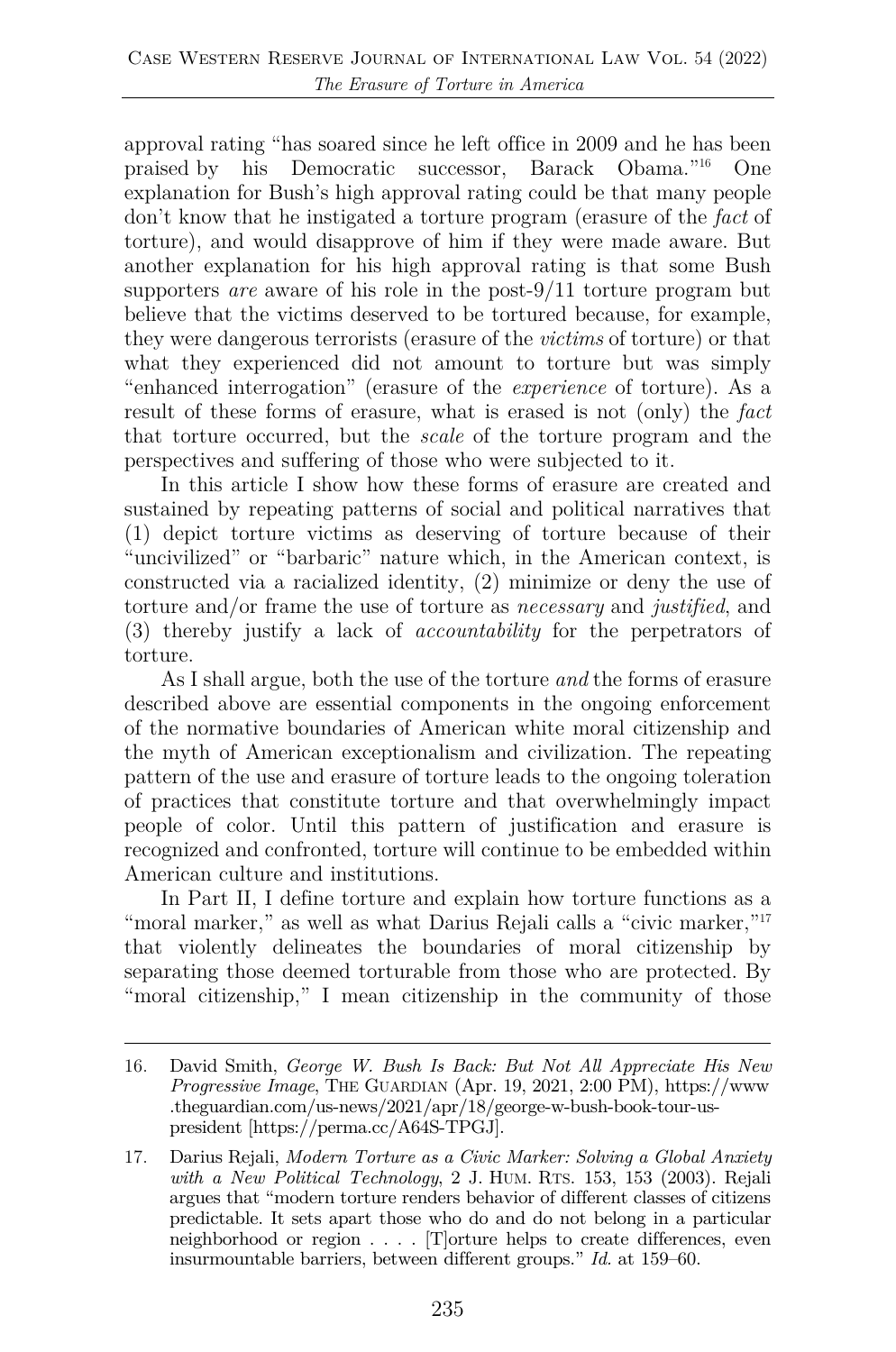approval rating "has soared since he left office in 2009 and he has been praised by his Democratic successor, Barack Obama."16 One explanation for Bush's high approval rating could be that many people don't know that he instigated a torture program (erasure of the *fact* of torture), and would disapprove of him if they were made aware. But another explanation for his high approval rating is that some Bush supporters *are* aware of his role in the post-9/11 torture program but believe that the victims deserved to be tortured because, for example, they were dangerous terrorists (erasure of the *victims* of torture) or that what they experienced did not amount to torture but was simply "enhanced interrogation" (erasure of the *experience* of torture). As a result of these forms of erasure, what is erased is not (only) the *fact* that torture occurred, but the *scale* of the torture program and the perspectives and suffering of those who were subjected to it.

In this article I show how these forms of erasure are created and sustained by repeating patterns of social and political narratives that (1) depict torture victims as deserving of torture because of their "uncivilized" or "barbaric" nature which, in the American context, is constructed via a racialized identity, (2) minimize or deny the use of torture and/or frame the use of torture as *necessary* and *justified*, and (3) thereby justify a lack of *accountability* for the perpetrators of torture.

As I shall argue, both the use of the torture *and* the forms of erasure described above are essential components in the ongoing enforcement of the normative boundaries of American white moral citizenship and the myth of American exceptionalism and civilization. The repeating pattern of the use and erasure of torture leads to the ongoing toleration of practices that constitute torture and that overwhelmingly impact people of color. Until this pattern of justification and erasure is recognized and confronted, torture will continue to be embedded within American culture and institutions.

In Part II, I define torture and explain how torture functions as a "moral marker," as well as what Darius Rejali calls a "civic marker,"<sup>17</sup> that violently delineates the boundaries of moral citizenship by separating those deemed torturable from those who are protected. By "moral citizenship," I mean citizenship in the community of those

<sup>16.</sup> David Smith, *George W. Bush Is Back: But Not All Appreciate His New Progressive Image*, THE GUARDIAN (Apr. 19, 2021, 2:00 PM), https://www .theguardian.com/us-news/2021/apr/18/george-w-bush-book-tour-uspresident [https://perma.cc/A64S-TPGJ].

<sup>17.</sup> Darius Rejali, *Modern Torture as a Civic Marker: Solving a Global Anxiety with a New Political Technology*, 2 J. HUM. RTS. 153, 153 (2003). Rejali argues that "modern torture renders behavior of different classes of citizens predictable. It sets apart those who do and do not belong in a particular neighborhood or region . . . . [T]orture helps to create differences, even insurmountable barriers, between different groups." *Id.* at 159–60.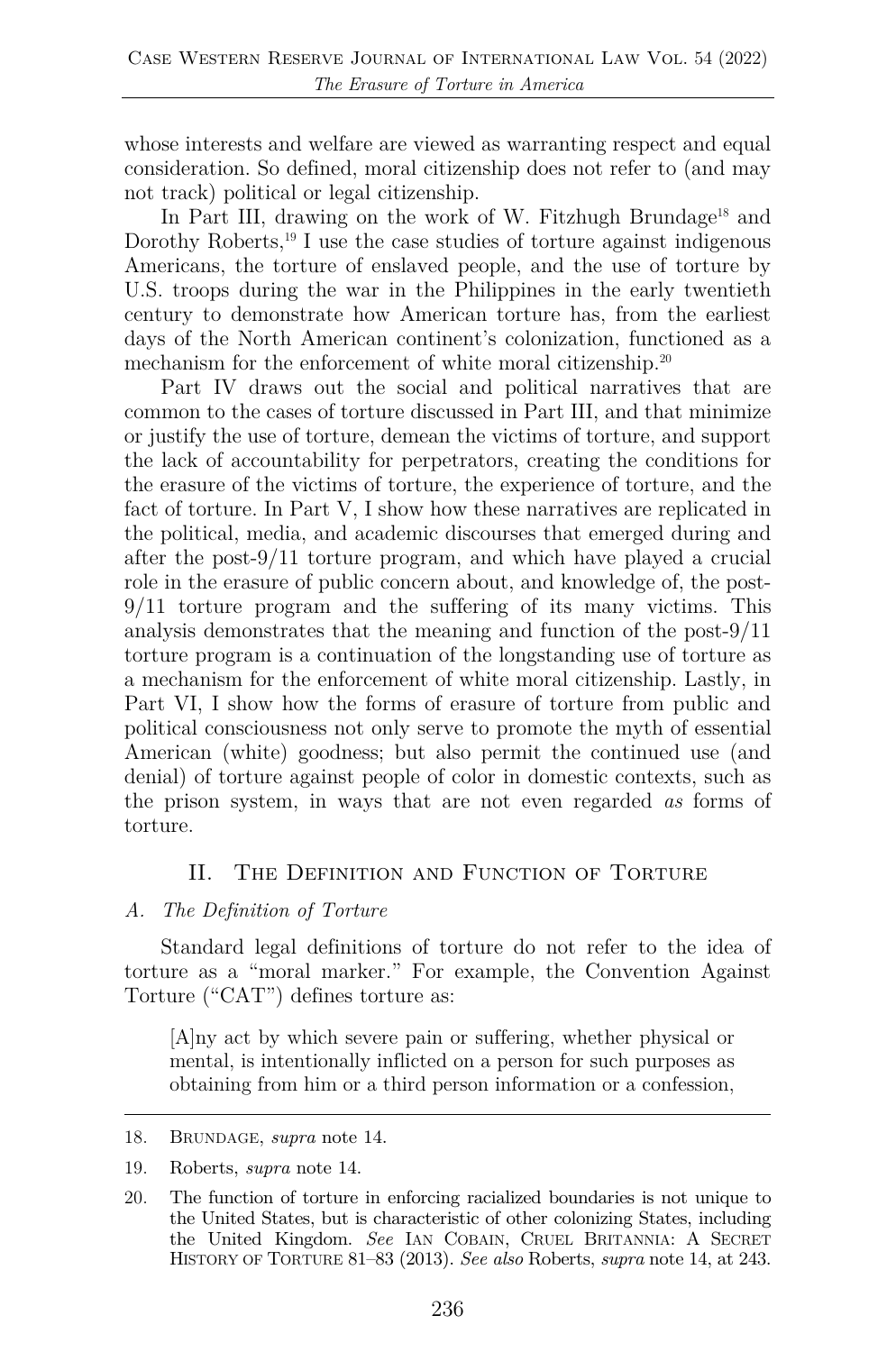whose interests and welfare are viewed as warranting respect and equal consideration. So defined, moral citizenship does not refer to (and may not track) political or legal citizenship.

In Part III, drawing on the work of W. Fitzhugh Brundage<sup>18</sup> and Dorothy Roberts,<sup>19</sup> I use the case studies of torture against indigenous Americans, the torture of enslaved people, and the use of torture by U.S. troops during the war in the Philippines in the early twentieth century to demonstrate how American torture has, from the earliest days of the North American continent's colonization, functioned as a mechanism for the enforcement of white moral citizenship.<sup>20</sup>

Part IV draws out the social and political narratives that are common to the cases of torture discussed in Part III, and that minimize or justify the use of torture, demean the victims of torture, and support the lack of accountability for perpetrators, creating the conditions for the erasure of the victims of torture, the experience of torture, and the fact of torture. In Part V, I show how these narratives are replicated in the political, media, and academic discourses that emerged during and after the post-9/11 torture program, and which have played a crucial role in the erasure of public concern about, and knowledge of, the post-9/11 torture program and the suffering of its many victims. This analysis demonstrates that the meaning and function of the post-9/11 torture program is a continuation of the longstanding use of torture as a mechanism for the enforcement of white moral citizenship. Lastly, in Part VI, I show how the forms of erasure of torture from public and political consciousness not only serve to promote the myth of essential American (white) goodness; but also permit the continued use (and denial) of torture against people of color in domestic contexts, such as the prison system, in ways that are not even regarded *as* forms of torture.

#### II. The Definition and Function of Torture

#### *A. The Definition of Torture*

Standard legal definitions of torture do not refer to the idea of torture as a "moral marker." For example, the Convention Against Torture ("CAT") defines torture as:

[A]ny act by which severe pain or suffering, whether physical or mental, is intentionally inflicted on a person for such purposes as obtaining from him or a third person information or a confession,

<sup>18.</sup> BRUNDAGE, *supra* note 14.

<sup>19.</sup> Roberts, *supra* note 14.

<sup>20.</sup> The function of torture in enforcing racialized boundaries is not unique to the United States, but is characteristic of other colonizing States, including the United Kingdom. *See* IAN COBAIN, CRUEL BRITANNIA: A SECRET HISTORY OF TORTURE 81–83 (2013). *See also* Roberts, *supra* note 14, at 243.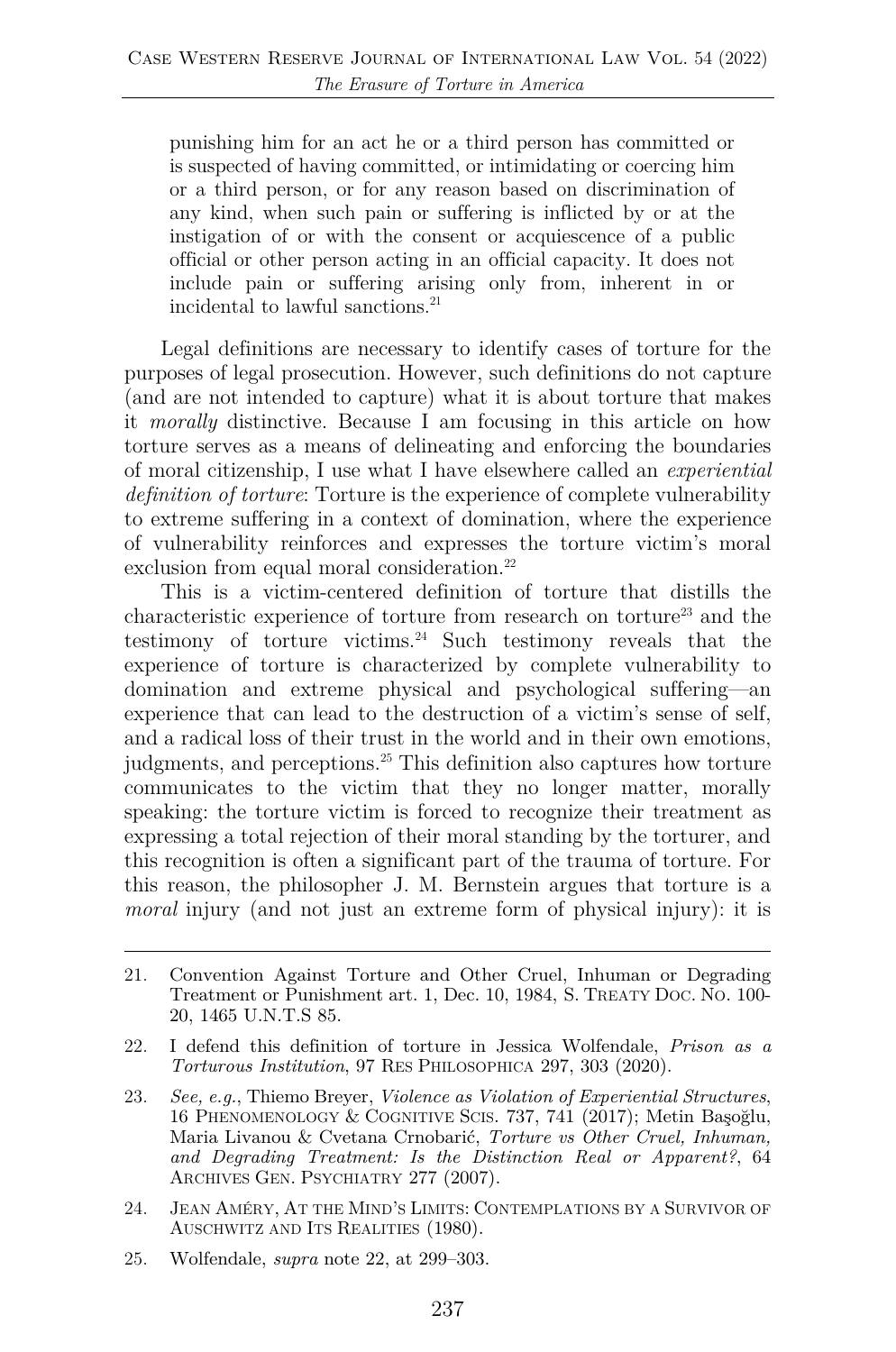punishing him for an act he or a third person has committed or is suspected of having committed, or intimidating or coercing him or a third person, or for any reason based on discrimination of any kind, when such pain or suffering is inflicted by or at the instigation of or with the consent or acquiescence of a public official or other person acting in an official capacity. It does not include pain or suffering arising only from, inherent in or incidental to lawful sanctions.<sup>21</sup>

Legal definitions are necessary to identify cases of torture for the purposes of legal prosecution. However, such definitions do not capture (and are not intended to capture) what it is about torture that makes it *morally* distinctive. Because I am focusing in this article on how torture serves as a means of delineating and enforcing the boundaries of moral citizenship, I use what I have elsewhere called an *experiential definition of torture*: Torture is the experience of complete vulnerability to extreme suffering in a context of domination, where the experience of vulnerability reinforces and expresses the torture victim's moral exclusion from equal moral consideration.<sup>22</sup>

This is a victim-centered definition of torture that distills the characteristic experience of torture from research on torture<sup>23</sup> and the testimony of torture victims.24 Such testimony reveals that the experience of torture is characterized by complete vulnerability to domination and extreme physical and psychological suffering—an experience that can lead to the destruction of a victim's sense of self, and a radical loss of their trust in the world and in their own emotions, judgments, and perceptions.25 This definition also captures how torture communicates to the victim that they no longer matter, morally speaking: the torture victim is forced to recognize their treatment as expressing a total rejection of their moral standing by the torturer, and this recognition is often a significant part of the trauma of torture. For this reason, the philosopher J. M. Bernstein argues that torture is a *moral* injury (and not just an extreme form of physical injury): it is

- 22. I defend this definition of torture in Jessica Wolfendale, *Prison as a Torturous Institution*, 97 RES PHILOSOPHICA 297, 303 (2020).
- 23. *See, e.g.*, Thiemo Breyer, *Violence as Violation of Experiential Structures*, 16 PHENOMENOLOGY & COGNITIVE SCIS. 737, 741 (2017); Metin Başoğlu, Maria Livanou & Cvetana Crnobarić, *Torture vs Other Cruel, Inhuman, and Degrading Treatment: Is the Distinction Real or Apparent?*, 64 ARCHIVES GEN. PSYCHIATRY 277 (2007).
- 24. JEAN AMÉRY, AT THE MIND'S LIMITS: CONTEMPLATIONS BY A SURVIVOR OF AUSCHWITZ AND ITS REALITIES (1980).
- 25. Wolfendale, *supra* note 22, at 299–303.

<sup>21.</sup> Convention Against Torture and Other Cruel, Inhuman or Degrading Treatment or Punishment art. 1, Dec. 10, 1984, S. TREATY DOC. NO. 100- 20, 1465 U.N.T.S 85.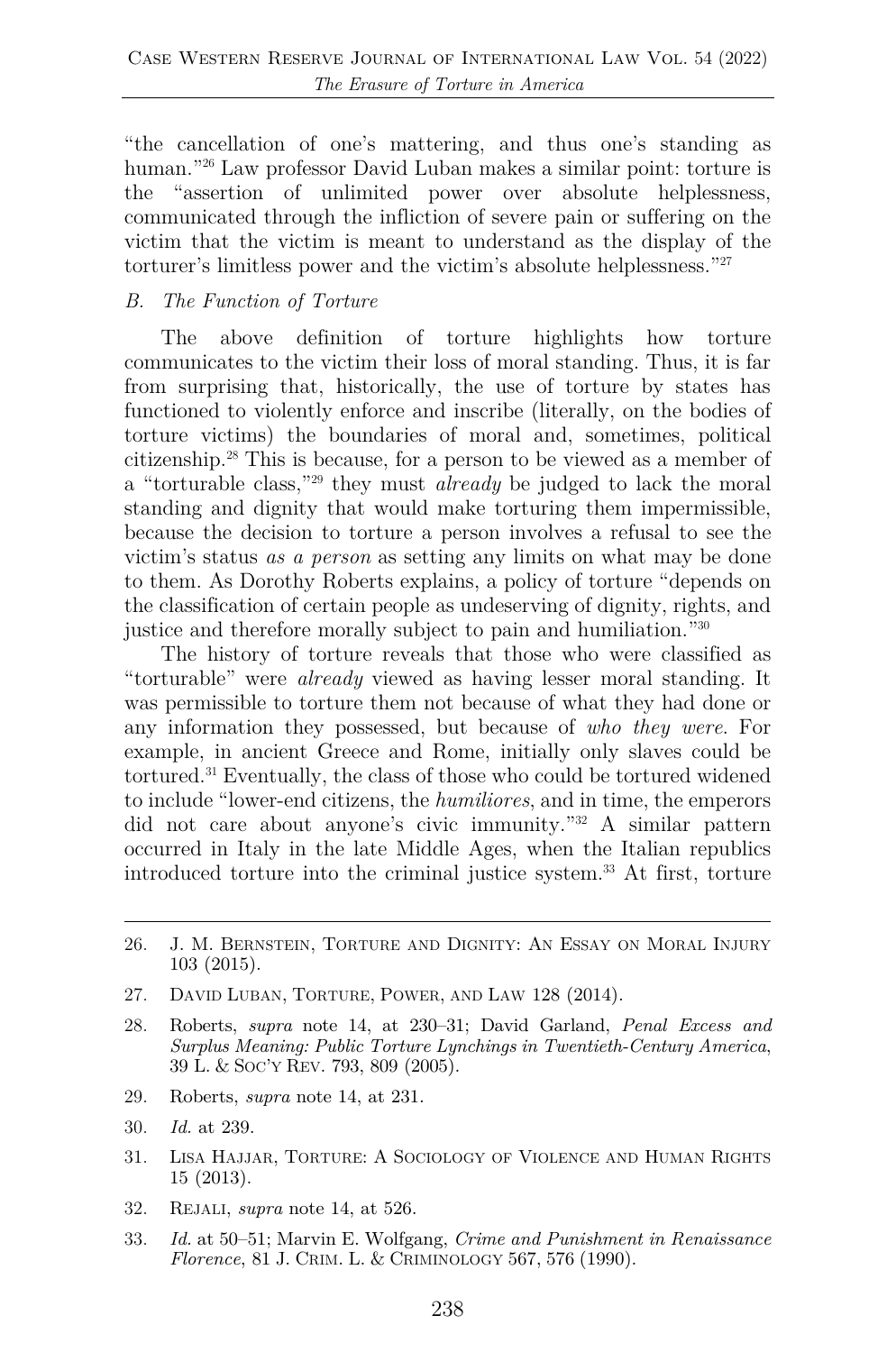"the cancellation of one's mattering, and thus one's standing as human."<sup>26</sup> Law professor David Luban makes a similar point: torture is the "assertion of unlimited power over absolute helplessness, communicated through the infliction of severe pain or suffering on the victim that the victim is meant to understand as the display of the torturer's limitless power and the victim's absolute helplessness."27

#### *B. The Function of Torture*

The above definition of torture highlights how torture communicates to the victim their loss of moral standing. Thus, it is far from surprising that, historically, the use of torture by states has functioned to violently enforce and inscribe (literally, on the bodies of torture victims) the boundaries of moral and, sometimes, political citizenship.28 This is because, for a person to be viewed as a member of a "torturable class,"29 they must *already* be judged to lack the moral standing and dignity that would make torturing them impermissible, because the decision to torture a person involves a refusal to see the victim's status *as a person* as setting any limits on what may be done to them. As Dorothy Roberts explains, a policy of torture "depends on the classification of certain people as undeserving of dignity, rights, and justice and therefore morally subject to pain and humiliation."30

The history of torture reveals that those who were classified as "torturable" were *already* viewed as having lesser moral standing. It was permissible to torture them not because of what they had done or any information they possessed, but because of *who they were*. For example, in ancient Greece and Rome, initially only slaves could be tortured.31 Eventually, the class of those who could be tortured widened to include "lower-end citizens, the *humiliores*, and in time, the emperors did not care about anyone's civic immunity."32 A similar pattern occurred in Italy in the late Middle Ages, when the Italian republics introduced torture into the criminal justice system.33 At first, torture

- 27. DAVID LUBAN, TORTURE, POWER, AND LAW 128 (2014).
- 28. Roberts, *supra* note 14, at 230–31; David Garland, *Penal Excess and Surplus Meaning: Public Torture Lynchings in Twentieth-Century America*, 39 L. & SOC'Y REV. 793, 809 (2005).
- 29. Roberts, *supra* note 14, at 231.
- 30. *Id.* at 239.
- 31. LISA HAJJAR, TORTURE: A SOCIOLOGY OF VIOLENCE AND HUMAN RIGHTS 15 (2013).
- 32. REJALI, *supra* note 14, at 526.
- 33. *Id.* at 50–51; Marvin E. Wolfgang, *Crime and Punishment in Renaissance Florence*, 81 J. CRIM. L. & CRIMINOLOGY 567, 576 (1990).

<sup>26.</sup> J. M. BERNSTEIN, TORTURE AND DIGNITY: AN ESSAY ON MORAL INJURY 103 (2015).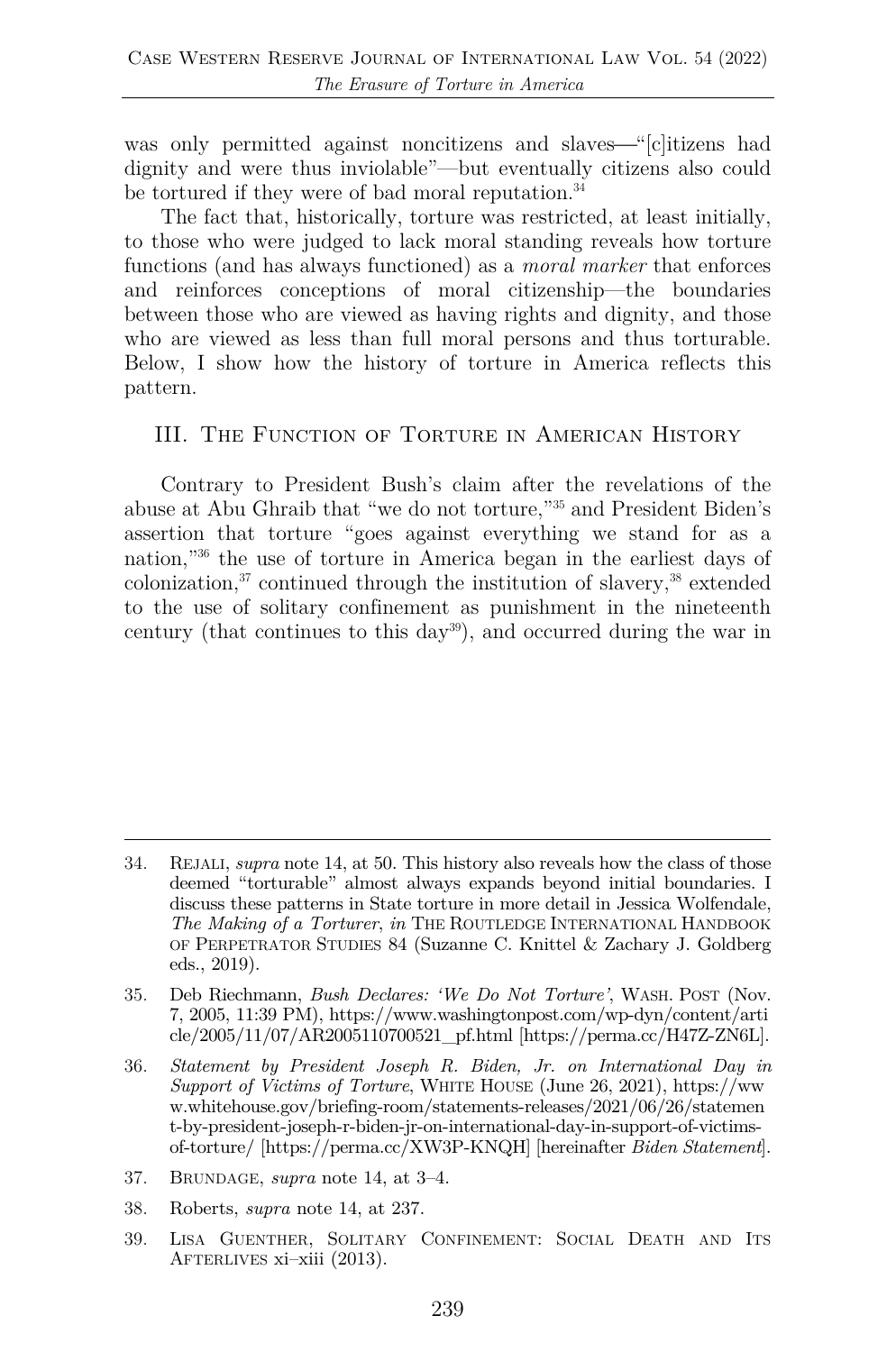was only permitted against noncitizens and slaves—"[c]itizens had dignity and were thus inviolable"—but eventually citizens also could be tortured if they were of bad moral reputation.<sup>34</sup>

The fact that, historically, torture was restricted, at least initially, to those who were judged to lack moral standing reveals how torture functions (and has always functioned) as a *moral marker* that enforces and reinforces conceptions of moral citizenship—the boundaries between those who are viewed as having rights and dignity, and those who are viewed as less than full moral persons and thus torturable. Below, I show how the history of torture in America reflects this pattern.

#### III. The Function of Torture in American History

Contrary to President Bush's claim after the revelations of the abuse at Abu Ghraib that "we do not torture,"35 and President Biden's assertion that torture "goes against everything we stand for as a nation,"36 the use of torture in America began in the earliest days of  $\alpha$ colonization, $37$  continued through the institution of slavery, $38$  extended to the use of solitary confinement as punishment in the nineteenth century (that continues to this day39), and occurred during the war in

35. Deb Riechmann, *Bush Declares: 'We Do Not Torture'*, WASH. POST (Nov. 7, 2005, 11:39 PM), https://www.washingtonpost.com/wp-dyn/content/arti cle/2005/11/07/AR2005110700521\_pf.html [https://perma.cc/H47Z-ZN6L].

36. *Statement by President Joseph R. Biden, Jr. on International Day in Support of Victims of Torture*, WHITE HOUSE (June 26, 2021), https://ww w.whitehouse.gov/briefing-room/statements-releases/2021/06/26/statemen t-by-president-joseph-r-biden-jr-on-international-day-in-support-of-victimsof-torture/ [https://perma.cc/XW3P-KNQH] [hereinafter *Biden Statement*].

- 37. BRUNDAGE, *supra* note 14, at 3–4.
- 38. Roberts, *supra* note 14, at 237.
- 39. LISA GUENTHER, SOLITARY CONFINEMENT: SOCIAL DEATH AND ITS AFTERLIVES xi–xiii (2013).

<sup>34.</sup> REJALI, *supra* note 14, at 50. This history also reveals how the class of those deemed "torturable" almost always expands beyond initial boundaries. I discuss these patterns in State torture in more detail in Jessica Wolfendale, *The Making of a Torturer*, *in* THE ROUTLEDGE INTERNATIONAL HANDBOOK OF PERPETRATOR STUDIES 84 (Suzanne C. Knittel & Zachary J. Goldberg eds., 2019).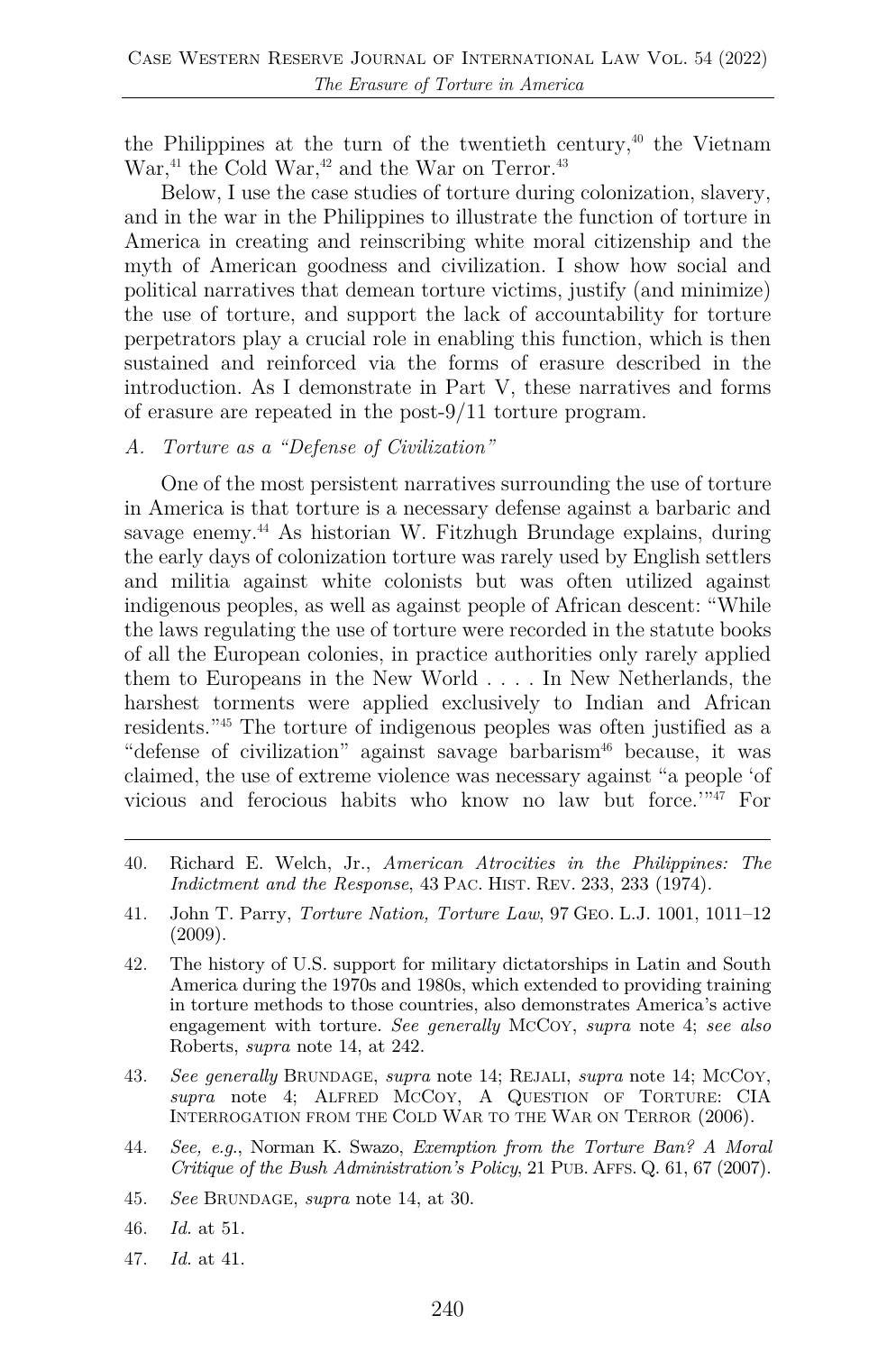the Philippines at the turn of the twentieth century,<sup> $40$ </sup> the Vietnam War, $41$  the Cold War, $42$  and the War on Terror. $43$ 

Below, I use the case studies of torture during colonization, slavery, and in the war in the Philippines to illustrate the function of torture in America in creating and reinscribing white moral citizenship and the myth of American goodness and civilization. I show how social and political narratives that demean torture victims, justify (and minimize) the use of torture, and support the lack of accountability for torture perpetrators play a crucial role in enabling this function, which is then sustained and reinforced via the forms of erasure described in the introduction. As I demonstrate in Part V, these narratives and forms of erasure are repeated in the post-9/11 torture program.

*A. Torture as a "Defense of Civilization"* 

One of the most persistent narratives surrounding the use of torture in America is that torture is a necessary defense against a barbaric and savage enemy.44 As historian W. Fitzhugh Brundage explains, during the early days of colonization torture was rarely used by English settlers and militia against white colonists but was often utilized against indigenous peoples, as well as against people of African descent: "While the laws regulating the use of torture were recorded in the statute books of all the European colonies, in practice authorities only rarely applied them to Europeans in the New World . . . . In New Netherlands, the harshest torments were applied exclusively to Indian and African residents."45 The torture of indigenous peoples was often justified as a "defense of civilization" against savage barbarism<sup>46</sup> because, it was claimed, the use of extreme violence was necessary against "a people 'of vicious and ferocious habits who know no law but force.'"47 For

- 40. Richard E. Welch, Jr., *American Atrocities in the Philippines: The Indictment and the Response*, 43 PAC. HIST. REV. 233, 233 (1974).
- 41. John T. Parry, *Torture Nation, Torture Law*, 97 GEO. L.J. 1001, 1011–12 (2009).
- 42. The history of U.S. support for military dictatorships in Latin and South America during the 1970s and 1980s, which extended to providing training in torture methods to those countries, also demonstrates America's active engagement with torture. *See generally* MCCOY, *supra* note 4; *see also* Roberts, *supra* note 14, at 242.
- 43. *See generally* BRUNDAGE, *supra* note 14; REJALI, *supra* note 14; MCCOY, *supra* note 4; ALFRED MCCOY, A QUESTION OF TORTURE: CIA INTERROGATION FROM THE COLD WAR TO THE WAR ON TERROR (2006).
- 44. *See, e.g.*, Norman K. Swazo, *Exemption from the Torture Ban? A Moral Critique of the Bush Administration's Policy*, 21 PUB. AFFS. Q. 61, 67 (2007).
- 45. *See* BRUNDAGE, *supra* note 14, at 30.
- 46. *Id.* at 51.
- 47. *Id.* at 41.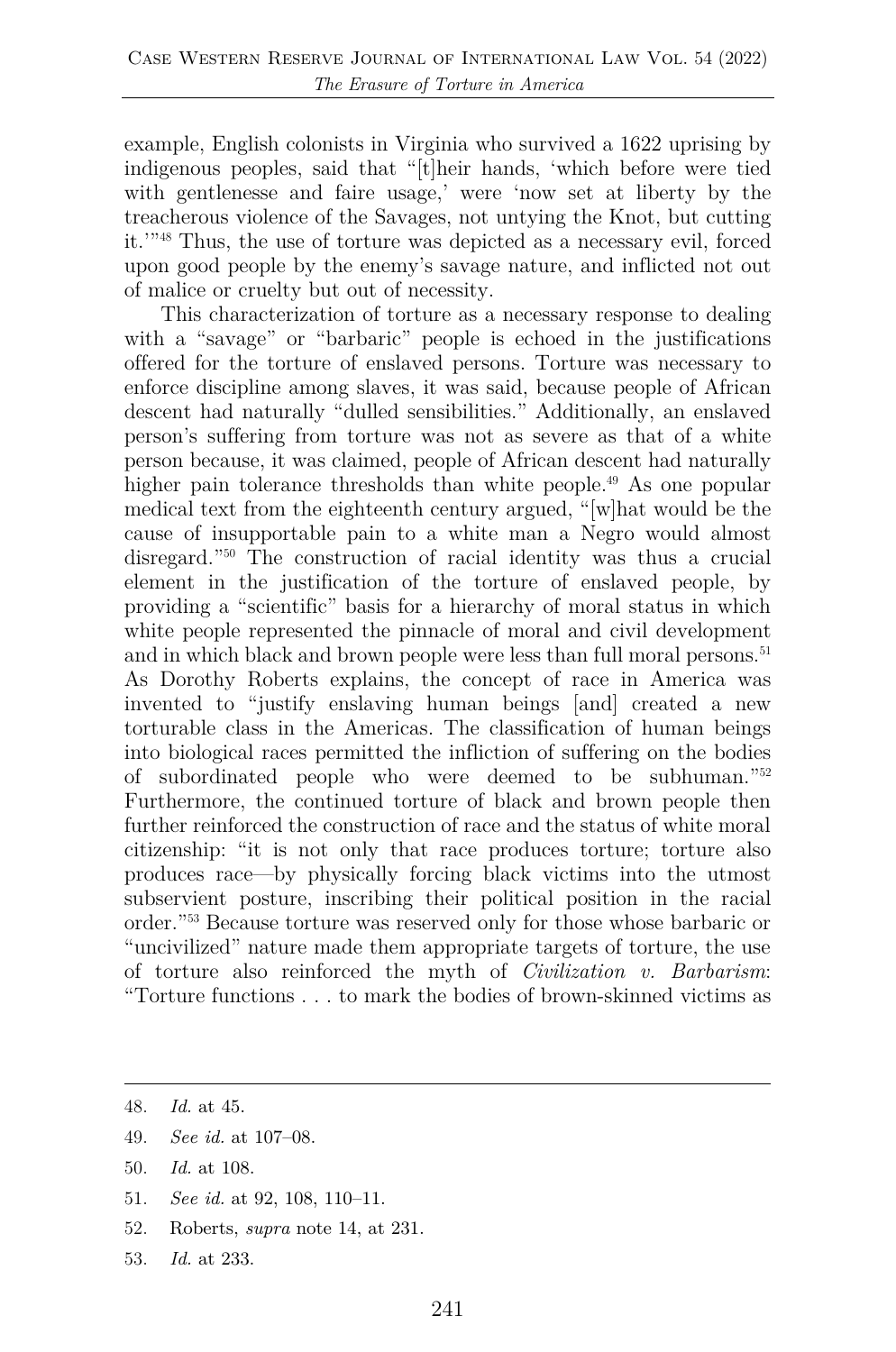example, English colonists in Virginia who survived a 1622 uprising by indigenous peoples, said that "[t]heir hands, 'which before were tied with gentlenesse and faire usage,' were 'now set at liberty by the treacherous violence of the Savages, not untying the Knot, but cutting it.'"48 Thus, the use of torture was depicted as a necessary evil, forced upon good people by the enemy's savage nature, and inflicted not out of malice or cruelty but out of necessity.

This characterization of torture as a necessary response to dealing with a "savage" or "barbaric" people is echoed in the justifications offered for the torture of enslaved persons. Torture was necessary to enforce discipline among slaves, it was said, because people of African descent had naturally "dulled sensibilities." Additionally, an enslaved person's suffering from torture was not as severe as that of a white person because, it was claimed, people of African descent had naturally higher pain tolerance thresholds than white people.<sup>49</sup> As one popular medical text from the eighteenth century argued, "[w]hat would be the cause of insupportable pain to a white man a Negro would almost disregard."50 The construction of racial identity was thus a crucial element in the justification of the torture of enslaved people, by providing a "scientific" basis for a hierarchy of moral status in which white people represented the pinnacle of moral and civil development and in which black and brown people were less than full moral persons.<sup>51</sup> As Dorothy Roberts explains, the concept of race in America was invented to "justify enslaving human beings [and] created a new torturable class in the Americas. The classification of human beings into biological races permitted the infliction of suffering on the bodies of subordinated people who were deemed to be subhuman."52 Furthermore, the continued torture of black and brown people then further reinforced the construction of race and the status of white moral citizenship: "it is not only that race produces torture; torture also produces race—by physically forcing black victims into the utmost subservient posture, inscribing their political position in the racial order."53 Because torture was reserved only for those whose barbaric or "uncivilized" nature made them appropriate targets of torture, the use of torture also reinforced the myth of *Civilization v. Barbarism*: "Torture functions . . . to mark the bodies of brown-skinned victims as

- 49. *See id.* at 107–08.
- 50. *Id.* at 108.
- 51. *See id.* at 92, 108, 110–11.
- 52. Roberts, *supra* note 14, at 231.
- 53. *Id.* at 233.

<sup>48.</sup> *Id.* at 45.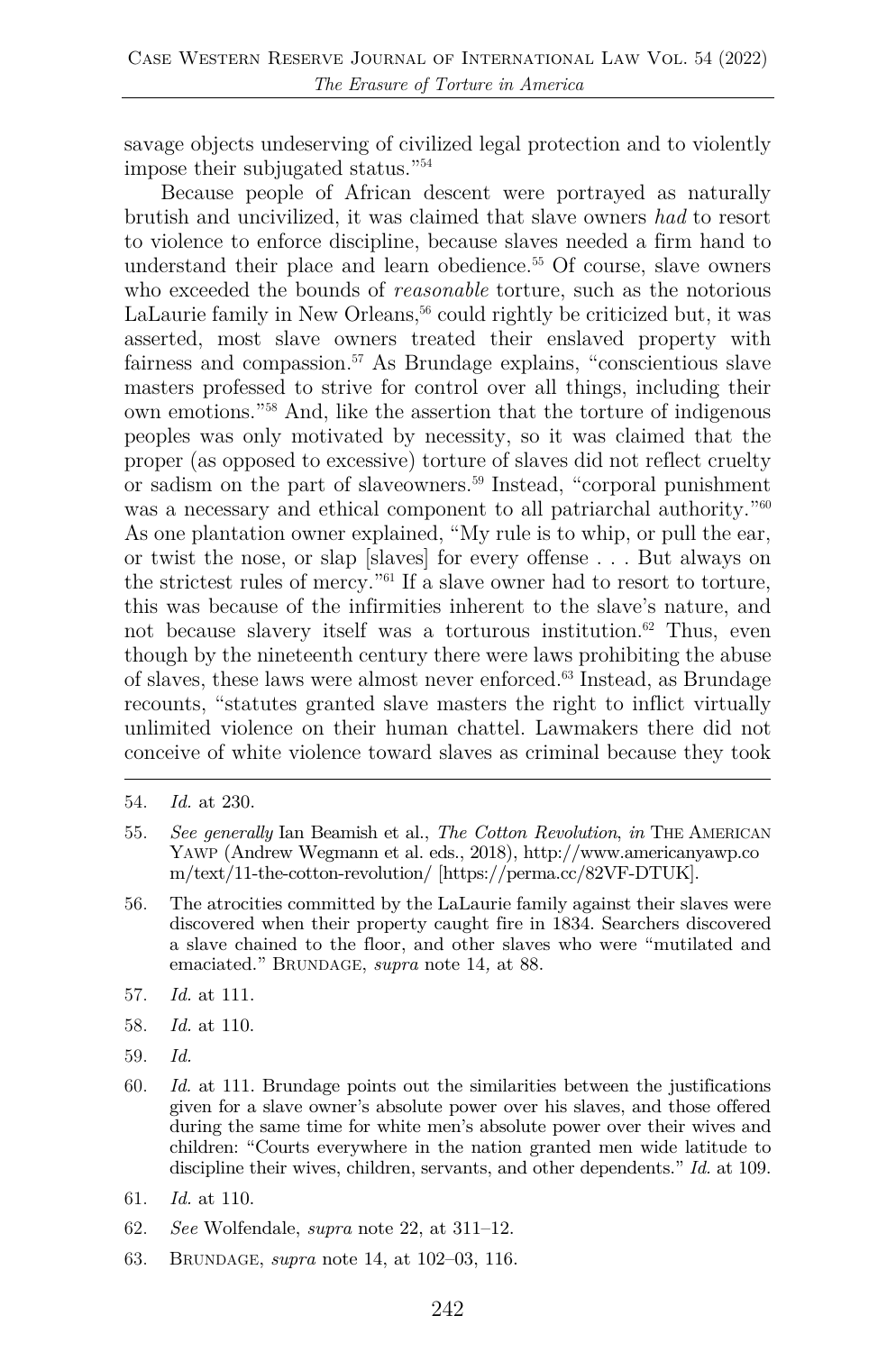savage objects undeserving of civilized legal protection and to violently impose their subjugated status."54

Because people of African descent were portrayed as naturally brutish and uncivilized, it was claimed that slave owners *had* to resort to violence to enforce discipline, because slaves needed a firm hand to understand their place and learn obedience. <sup>55</sup> Of course, slave owners who exceeded the bounds of *reasonable* torture, such as the notorious LaLaurie family in New Orleans,<sup>56</sup> could rightly be criticized but, it was asserted, most slave owners treated their enslaved property with fairness and compassion. <sup>57</sup> As Brundage explains, "conscientious slave masters professed to strive for control over all things, including their own emotions."58 And, like the assertion that the torture of indigenous peoples was only motivated by necessity, so it was claimed that the proper (as opposed to excessive) torture of slaves did not reflect cruelty or sadism on the part of slaveowners. <sup>59</sup> Instead, "corporal punishment was a necessary and ethical component to all patriarchal authority.<sup>"60</sup> As one plantation owner explained, "My rule is to whip, or pull the ear, or twist the nose, or slap [slaves] for every offense . . . But always on the strictest rules of mercy."61 If a slave owner had to resort to torture, this was because of the infirmities inherent to the slave's nature, and not because slavery itself was a torturous institution. <sup>62</sup> Thus, even though by the nineteenth century there were laws prohibiting the abuse of slaves, these laws were almost never enforced.63 Instead, as Brundage recounts, "statutes granted slave masters the right to inflict virtually unlimited violence on their human chattel. Lawmakers there did not conceive of white violence toward slaves as criminal because they took

- 55. *See generally* Ian Beamish et al., *The Cotton Revolution*, *in* THE AMERICAN YAWP (Andrew Wegmann et al. eds., 2018), http://www.americanyawp.co m/text/11-the-cotton-revolution/ [https://perma.cc/82VF-DTUK].
- 56. The atrocities committed by the LaLaurie family against their slaves were discovered when their property caught fire in 1834. Searchers discovered a slave chained to the floor, and other slaves who were "mutilated and emaciated." BRUNDAGE, *supra* note 14*,* at 88.
- 57. *Id.* at 111.
- 58. *Id.* at 110.
- 59. *Id.*
- 60. *Id.* at 111. Brundage points out the similarities between the justifications given for a slave owner's absolute power over his slaves, and those offered during the same time for white men's absolute power over their wives and children: "Courts everywhere in the nation granted men wide latitude to discipline their wives, children, servants, and other dependents." *Id.* at 109.
- 61. *Id.* at 110.
- 62. *See* Wolfendale, *supra* note 22, at 311–12.
- 63. BRUNDAGE, *supra* note 14, at 102–03, 116.

<sup>54.</sup> *Id.* at 230.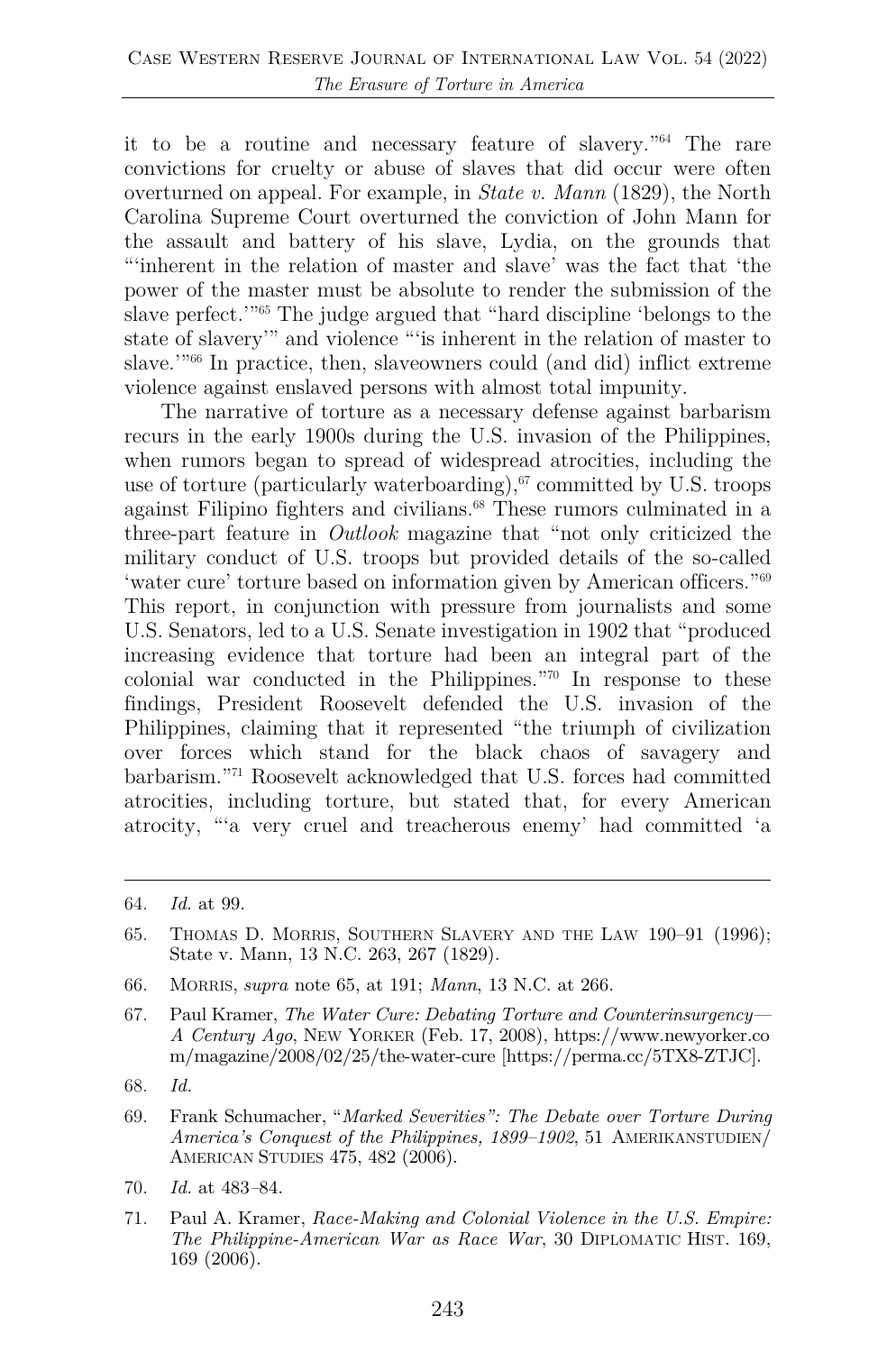it to be a routine and necessary feature of slavery."64 The rare convictions for cruelty or abuse of slaves that did occur were often overturned on appeal. For example, in *State v. Mann* (1829), the North Carolina Supreme Court overturned the conviction of John Mann for the assault and battery of his slave, Lydia, on the grounds that "'inherent in the relation of master and slave' was the fact that 'the power of the master must be absolute to render the submission of the slave perfect.'"65 The judge argued that "hard discipline 'belongs to the state of slavery'" and violence "'is inherent in the relation of master to slave.<sup>1066</sup> In practice, then, slaveowners could (and did) inflict extreme violence against enslaved persons with almost total impunity.

The narrative of torture as a necessary defense against barbarism recurs in the early 1900s during the U.S. invasion of the Philippines, when rumors began to spread of widespread atrocities, including the use of torture (particularly waterboarding), $67$  committed by U.S. troops against Filipino fighters and civilians.<sup>68</sup> These rumors culminated in a three-part feature in *Outlook* magazine that "not only criticized the military conduct of U.S. troops but provided details of the so-called 'water cure' torture based on information given by American officers."69 This report, in conjunction with pressure from journalists and some U.S. Senators, led to a U.S. Senate investigation in 1902 that "produced increasing evidence that torture had been an integral part of the colonial war conducted in the Philippines."70 In response to these findings, President Roosevelt defended the U.S. invasion of the Philippines, claiming that it represented "the triumph of civilization over forces which stand for the black chaos of savagery and barbarism."71 Roosevelt acknowledged that U.S. forces had committed atrocities, including torture, but stated that, for every American atrocity, "'a very cruel and treacherous enemy' had committed 'a

- 66. MORRIS, *supra* note 65, at 191; *Mann*, 13 N.C. at 266.
- 67. Paul Kramer, *The Water Cure: Debating Torture and Counterinsurgency— A Century Ago*, NEW YORKER (Feb. 17, 2008), https://www.newyorker.co m/magazine/2008/02/25/the-water-cure [https://perma.cc/5TX8-ZTJC].
- 68. *Id.*
- 69. Frank Schumacher, "*Marked Severities": The Debate over Torture During America's Conquest of the Philippines, 1899–1902*, 51 AMERIKANSTUDIEN/ AMERICAN STUDIES 475, 482 (2006).
- 70. *Id.* at 483*–*84.
- 71. Paul A. Kramer, *Race-Making and Colonial Violence in the U.S. Empire: The Philippine-American War as Race War*, 30 DIPLOMATIC HIST. 169, 169 (2006).

<sup>64.</sup> *Id.* at 99.

<sup>65.</sup> THOMAS D. MORRIS, SOUTHERN SLAVERY AND THE LAW 190–91 (1996); State v. Mann, 13 N.C. 263, 267 (1829).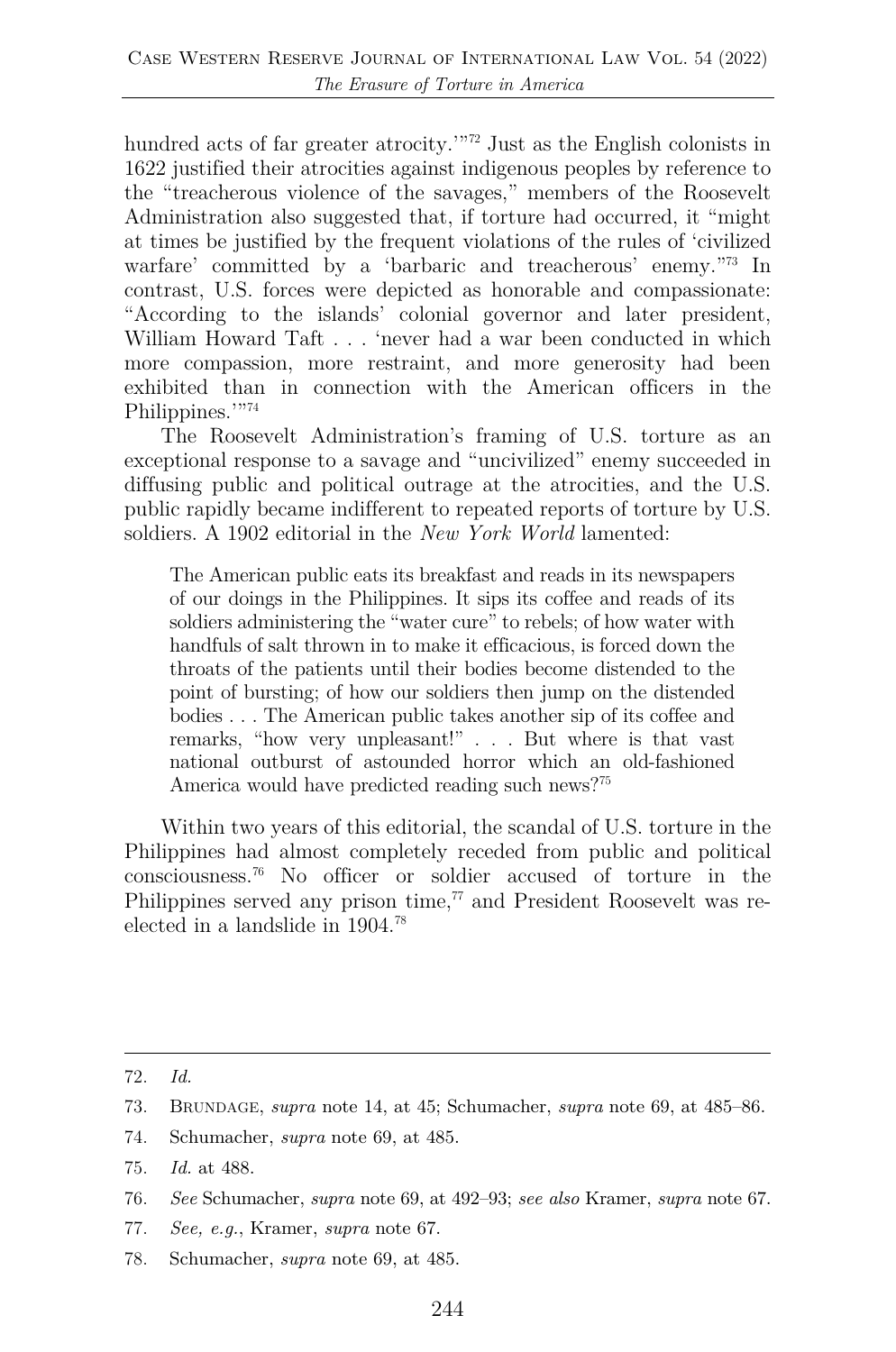hundred acts of far greater atrocity.'"<sup>72</sup> Just as the English colonists in 1622 justified their atrocities against indigenous peoples by reference to the "treacherous violence of the savages," members of the Roosevelt Administration also suggested that, if torture had occurred, it "might at times be justified by the frequent violations of the rules of 'civilized warfare' committed by a 'barbaric and treacherous' enemy."73 In contrast, U.S. forces were depicted as honorable and compassionate: "According to the islands' colonial governor and later president, William Howard Taft . . . 'never had a war been conducted in which more compassion, more restraint, and more generosity had been exhibited than in connection with the American officers in the Philippines.'"74

The Roosevelt Administration's framing of U.S. torture as an exceptional response to a savage and "uncivilized" enemy succeeded in diffusing public and political outrage at the atrocities, and the U.S. public rapidly became indifferent to repeated reports of torture by U.S. soldiers. A 1902 editorial in the *New York World* lamented:

The American public eats its breakfast and reads in its newspapers of our doings in the Philippines. It sips its coffee and reads of its soldiers administering the "water cure" to rebels; of how water with handfuls of salt thrown in to make it efficacious, is forced down the throats of the patients until their bodies become distended to the point of bursting; of how our soldiers then jump on the distended bodies . . . The American public takes another sip of its coffee and remarks, "how very unpleasant!" . . . But where is that vast national outburst of astounded horror which an old-fashioned America would have predicted reading such news?75

Within two years of this editorial, the scandal of U.S. torture in the Philippines had almost completely receded from public and political consciousness.76 No officer or soldier accused of torture in the Philippines served any prison time, $77$  and President Roosevelt was reelected in a landslide in 1904.78

74. Schumacher, *supra* note 69, at 485.

- 77. *See, e.g.*, Kramer, *supra* note 67.
- 78. Schumacher, *supra* note 69, at 485.

<sup>72.</sup> *Id.*

<sup>73.</sup> BRUNDAGE, *supra* note 14, at 45; Schumacher, *supra* note 69, at 485–86.

<sup>75.</sup> *Id.* at 488.

<sup>76.</sup> *See* Schumacher, *supra* note 69, at 492–93; *see also* Kramer, *supra* note 67.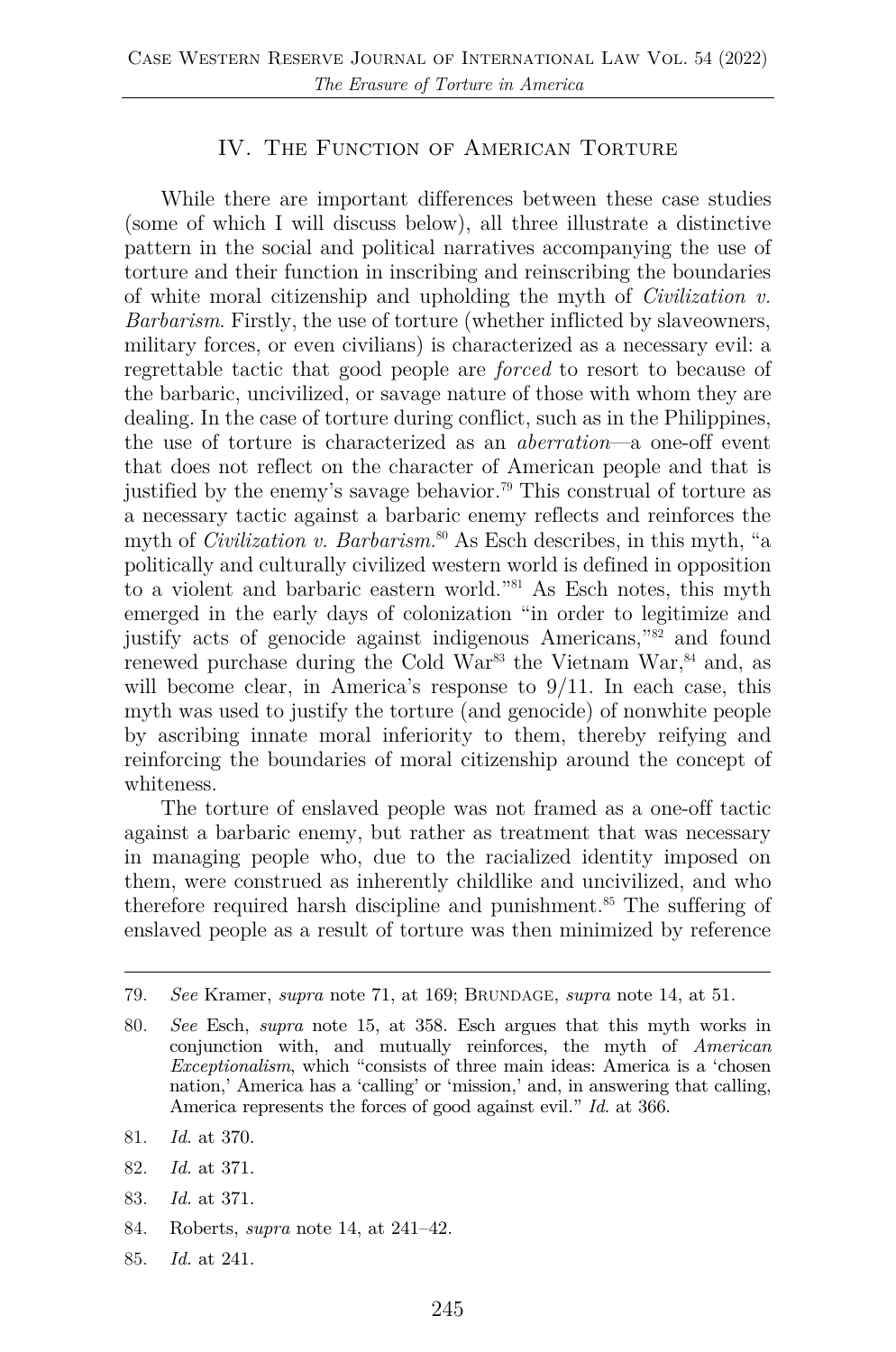#### IV. THE FUNCTION OF AMERICAN TORTURE

While there are important differences between these case studies (some of which I will discuss below), all three illustrate a distinctive pattern in the social and political narratives accompanying the use of torture and their function in inscribing and reinscribing the boundaries of white moral citizenship and upholding the myth of *Civilization v. Barbarism*. Firstly, the use of torture (whether inflicted by slaveowners, military forces, or even civilians) is characterized as a necessary evil: a regrettable tactic that good people are *forced* to resort to because of the barbaric, uncivilized, or savage nature of those with whom they are dealing. In the case of torture during conflict, such as in the Philippines, the use of torture is characterized as an *aberration*—a one-off event that does not reflect on the character of American people and that is justified by the enemy's savage behavior. <sup>79</sup> This construal of torture as a necessary tactic against a barbaric enemy reflects and reinforces the myth of *Civilization v. Barbarism*.<sup>80</sup> As Esch describes, in this myth, "a politically and culturally civilized western world is defined in opposition to a violent and barbaric eastern world."81 As Esch notes, this myth emerged in the early days of colonization "in order to legitimize and justify acts of genocide against indigenous Americans,"82 and found renewed purchase during the Cold War<sup>83</sup> the Vietnam War,  $84$  and, as will become clear, in America's response to  $9/11$ . In each case, this myth was used to justify the torture (and genocide) of nonwhite people by ascribing innate moral inferiority to them, thereby reifying and reinforcing the boundaries of moral citizenship around the concept of whiteness.

The torture of enslaved people was not framed as a one-off tactic against a barbaric enemy, but rather as treatment that was necessary in managing people who, due to the racialized identity imposed on them, were construed as inherently childlike and uncivilized, and who therefore required harsh discipline and punishment.85 The suffering of enslaved people as a result of torture was then minimized by reference

- 83. *Id.* at 371.
- 84. Roberts, *supra* note 14, at 241–42.
- 85. *Id.* at 241.

<sup>79.</sup> *See* Kramer, *supra* note 71, at 169; BRUNDAGE, *supra* note 14, at 51.

<sup>80.</sup> *See* Esch, *supra* note 15, at 358. Esch argues that this myth works in conjunction with, and mutually reinforces, the myth of *American Exceptionalism*, which "consists of three main ideas: America is a 'chosen nation,' America has a 'calling' or 'mission,' and, in answering that calling, America represents the forces of good against evil." *Id.* at 366.

<sup>81.</sup> *Id.* at 370.

<sup>82.</sup> *Id.* at 371.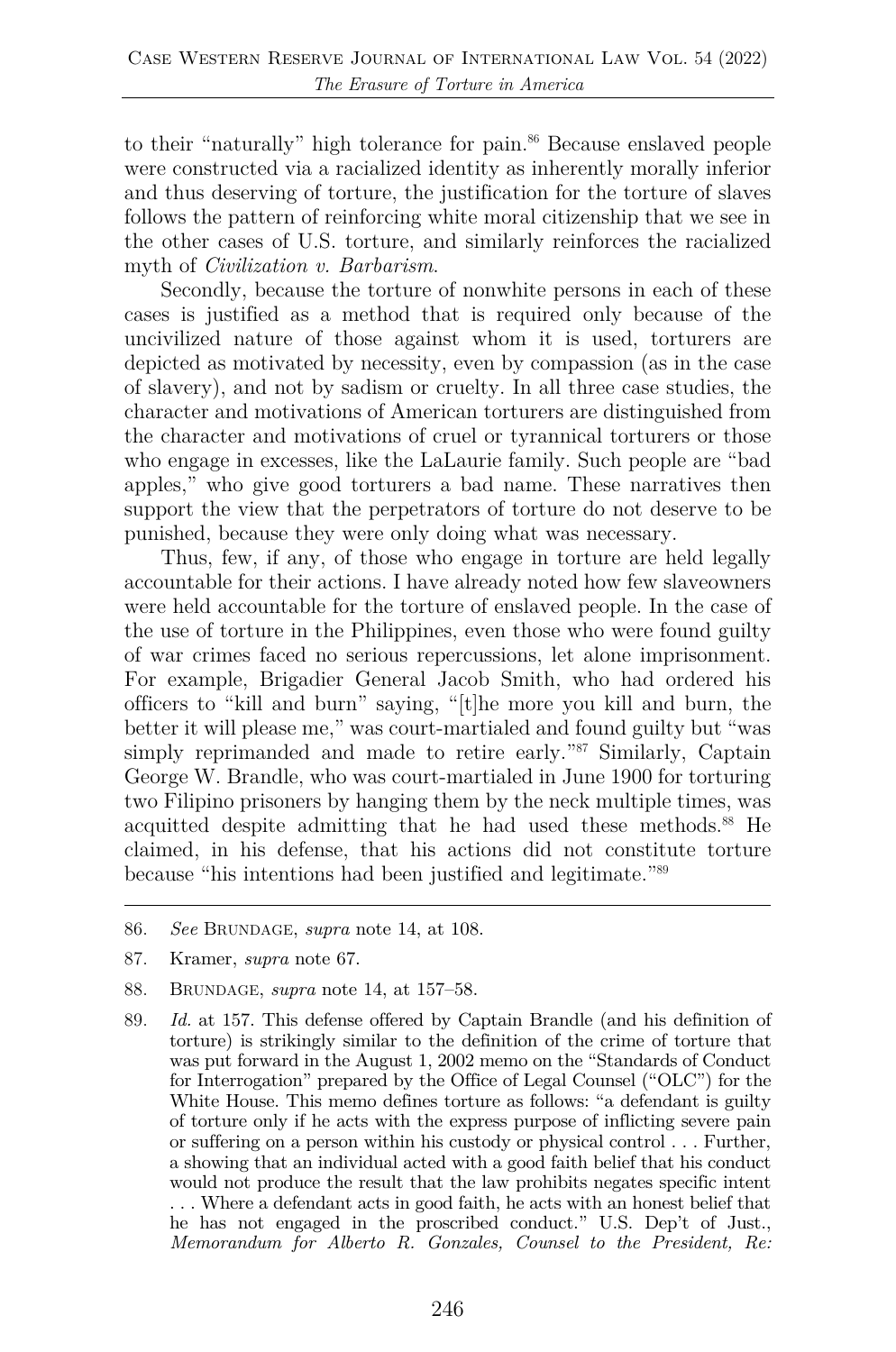to their "naturally" high tolerance for pain.<sup>86</sup> Because enslaved people were constructed via a racialized identity as inherently morally inferior and thus deserving of torture, the justification for the torture of slaves follows the pattern of reinforcing white moral citizenship that we see in the other cases of U.S. torture, and similarly reinforces the racialized myth of *Civilization v. Barbarism*.

Secondly, because the torture of nonwhite persons in each of these cases is justified as a method that is required only because of the uncivilized nature of those against whom it is used, torturers are depicted as motivated by necessity, even by compassion (as in the case of slavery), and not by sadism or cruelty. In all three case studies, the character and motivations of American torturers are distinguished from the character and motivations of cruel or tyrannical torturers or those who engage in excesses, like the LaLaurie family. Such people are "bad apples," who give good torturers a bad name. These narratives then support the view that the perpetrators of torture do not deserve to be punished, because they were only doing what was necessary.

Thus, few, if any, of those who engage in torture are held legally accountable for their actions. I have already noted how few slaveowners were held accountable for the torture of enslaved people. In the case of the use of torture in the Philippines, even those who were found guilty of war crimes faced no serious repercussions, let alone imprisonment. For example, Brigadier General Jacob Smith, who had ordered his officers to "kill and burn" saying, "[t]he more you kill and burn, the better it will please me," was court-martialed and found guilty but "was simply reprimanded and made to retire early."<sup>87</sup> Similarly, Captain George W. Brandle, who was court-martialed in June 1900 for torturing two Filipino prisoners by hanging them by the neck multiple times, was acquitted despite admitting that he had used these methods.<sup>88</sup> He claimed, in his defense, that his actions did not constitute torture because "his intentions had been justified and legitimate."89

- 87. Kramer, *supra* note 67.
- 88. BRUNDAGE, *supra* note 14, at 157–58.
- 89. *Id.* at 157. This defense offered by Captain Brandle (and his definition of torture) is strikingly similar to the definition of the crime of torture that was put forward in the August 1, 2002 memo on the "Standards of Conduct for Interrogation" prepared by the Office of Legal Counsel ("OLC") for the White House. This memo defines torture as follows: "a defendant is guilty of torture only if he acts with the express purpose of inflicting severe pain or suffering on a person within his custody or physical control . . . Further, a showing that an individual acted with a good faith belief that his conduct would not produce the result that the law prohibits negates specific intent . . . Where a defendant acts in good faith, he acts with an honest belief that he has not engaged in the proscribed conduct." U.S. Dep't of Just., *Memorandum for Alberto R. Gonzales, Counsel to the President, Re:*

<sup>86.</sup> *See* BRUNDAGE, *supra* note 14, at 108.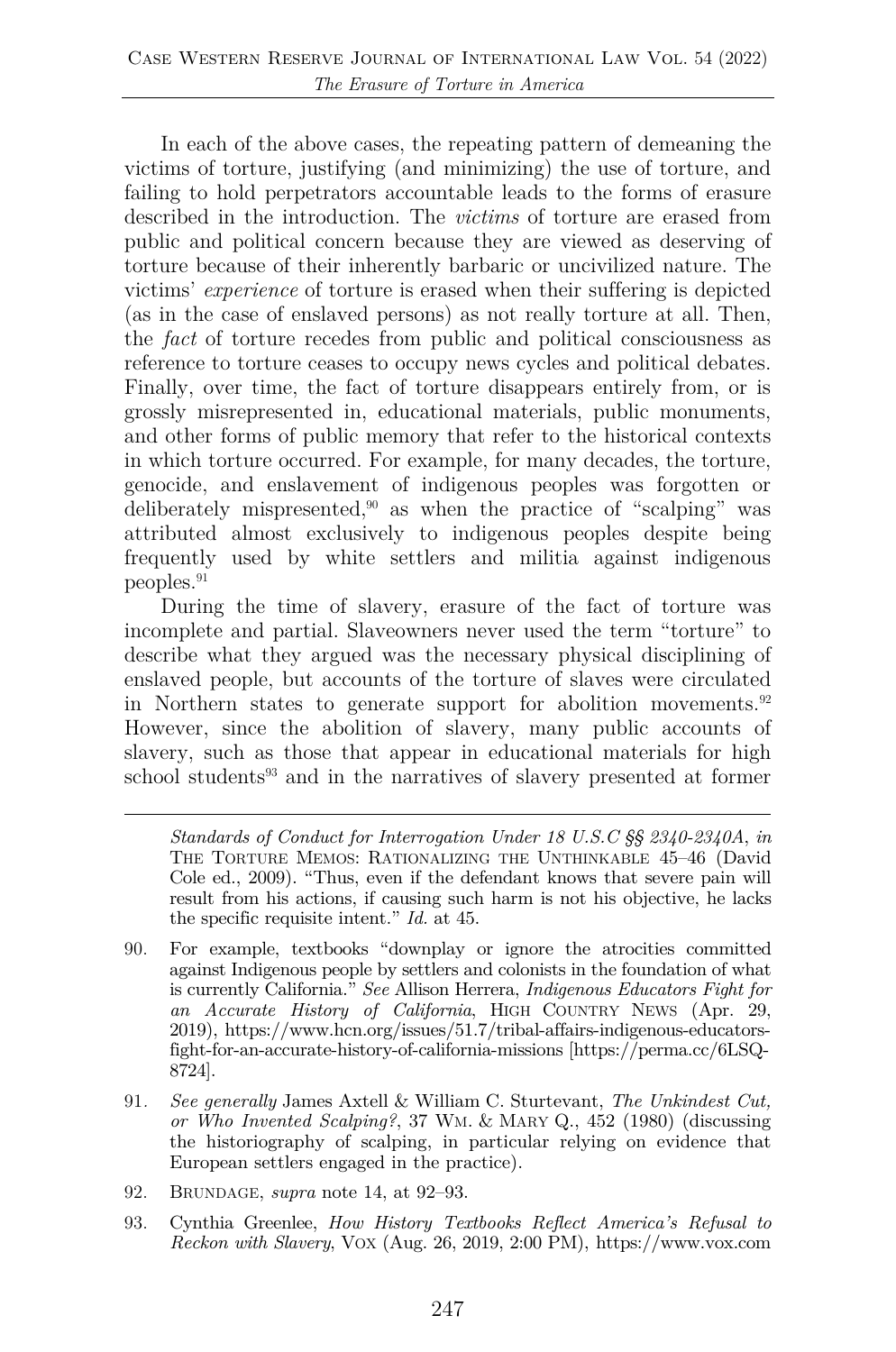In each of the above cases, the repeating pattern of demeaning the victims of torture, justifying (and minimizing) the use of torture, and failing to hold perpetrators accountable leads to the forms of erasure described in the introduction. The *victims* of torture are erased from public and political concern because they are viewed as deserving of torture because of their inherently barbaric or uncivilized nature. The victims' *experience* of torture is erased when their suffering is depicted (as in the case of enslaved persons) as not really torture at all. Then, the *fact* of torture recedes from public and political consciousness as reference to torture ceases to occupy news cycles and political debates. Finally, over time, the fact of torture disappears entirely from, or is grossly misrepresented in, educational materials, public monuments, and other forms of public memory that refer to the historical contexts in which torture occurred. For example, for many decades, the torture, genocide, and enslavement of indigenous peoples was forgotten or deliberately mispresented,<sup>90</sup> as when the practice of "scalping" was attributed almost exclusively to indigenous peoples despite being frequently used by white settlers and militia against indigenous peoples.91

During the time of slavery, erasure of the fact of torture was incomplete and partial. Slaveowners never used the term "torture" to describe what they argued was the necessary physical disciplining of enslaved people, but accounts of the torture of slaves were circulated in Northern states to generate support for abolition movements.<sup>92</sup> However, since the abolition of slavery, many public accounts of slavery, such as those that appear in educational materials for high school students<sup>93</sup> and in the narratives of slavery presented at former

*Standards of Conduct for Interrogation Under 18 U.S.C §§ 2340-2340A*, *in* THE TORTURE MEMOS: RATIONALIZING THE UNTHINKABLE 45–46 (David Cole ed., 2009). "Thus, even if the defendant knows that severe pain will result from his actions, if causing such harm is not his objective, he lacks the specific requisite intent." *Id.* at 45.

- 90. For example, textbooks "downplay or ignore the atrocities committed against Indigenous people by settlers and colonists in the foundation of what is currently California." *See* Allison Herrera, *Indigenous Educators Fight for an Accurate History of California*, HIGH COUNTRY NEWS (Apr. 29, 2019), https://www.hcn.org/issues/51.7/tribal-affairs-indigenous-educatorsfight-for-an-accurate-history-of-california-missions [https://perma.cc/6LSQ-8724].
- 91*. See generally* James Axtell & William C. Sturtevant, *The Unkindest Cut, or Who Invented Scalping?*, 37 WM. & MARY Q., 452 (1980) (discussing the historiography of scalping, in particular relying on evidence that European settlers engaged in the practice).
- 92. BRUNDAGE, *supra* note 14, at 92–93.
- 93. Cynthia Greenlee, *How History Textbooks Reflect America's Refusal to Reckon with Slavery*, VOX (Aug. 26, 2019, 2:00 PM), https://www.vox.com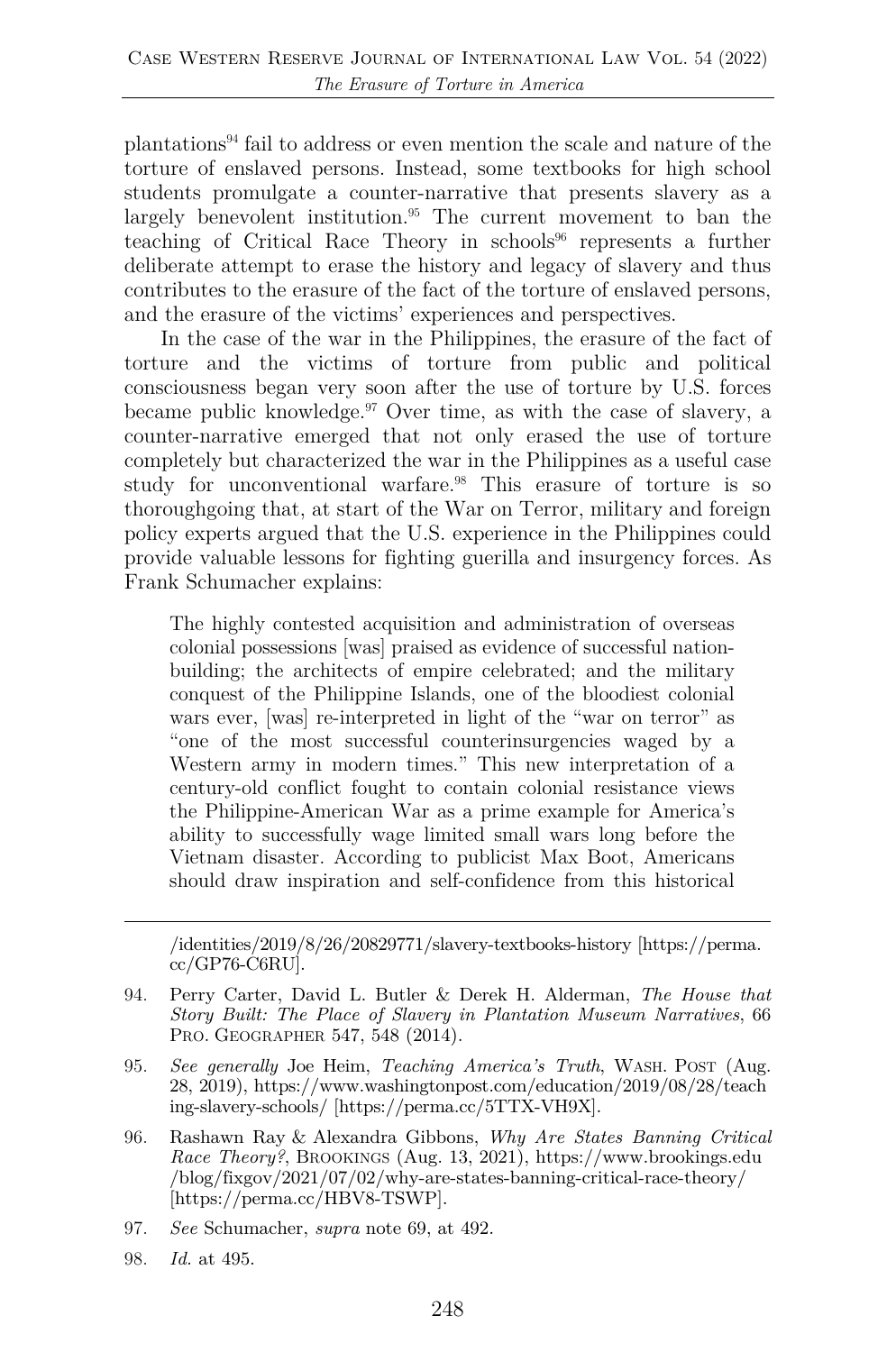plantations94 fail to address or even mention the scale and nature of the torture of enslaved persons. Instead, some textbooks for high school students promulgate a counter-narrative that presents slavery as a largely benevolent institution.<sup>95</sup> The current movement to ban the teaching of Critical Race Theory in schools<sup>96</sup> represents a further deliberate attempt to erase the history and legacy of slavery and thus contributes to the erasure of the fact of the torture of enslaved persons, and the erasure of the victims' experiences and perspectives.

In the case of the war in the Philippines, the erasure of the fact of torture and the victims of torture from public and political consciousness began very soon after the use of torture by U.S. forces became public knowledge. <sup>97</sup> Over time, as with the case of slavery, a counter-narrative emerged that not only erased the use of torture completely but characterized the war in the Philippines as a useful case study for unconventional warfare.98 This erasure of torture is so thoroughgoing that, at start of the War on Terror, military and foreign policy experts argued that the U.S. experience in the Philippines could provide valuable lessons for fighting guerilla and insurgency forces. As Frank Schumacher explains:

The highly contested acquisition and administration of overseas colonial possessions [was] praised as evidence of successful nationbuilding; the architects of empire celebrated; and the military conquest of the Philippine Islands, one of the bloodiest colonial wars ever, [was] re-interpreted in light of the "war on terror" as "one of the most successful counterinsurgencies waged by a Western army in modern times." This new interpretation of a century-old conflict fought to contain colonial resistance views the Philippine-American War as a prime example for America's ability to successfully wage limited small wars long before the Vietnam disaster. According to publicist Max Boot, Americans should draw inspiration and self-confidence from this historical

/identities/2019/8/26/20829771/slavery-textbooks-history [https://perma. cc/GP76-C6RU].

- 94. Perry Carter, David L. Butler & Derek H. Alderman, *The House that Story Built: The Place of Slavery in Plantation Museum Narratives*, 66 PRO. GEOGRAPHER 547, 548 (2014).
- 95. *See generally* Joe Heim, *Teaching America's Truth*, WASH. POST (Aug. 28, 2019), https://www.washingtonpost.com/education/2019/08/28/teach ing-slavery-schools/ [https://perma.cc/5TTX-VH9X].
- 96. Rashawn Ray & Alexandra Gibbons, *Why Are States Banning Critical Race Theory?*, BROOKINGS (Aug. 13, 2021), https://www.brookings.edu /blog/fixgov/2021/07/02/why-are-states-banning-critical-race-theory/ [https://perma.cc/HBV8-TSWP].
- 97. *See* Schumacher, *supra* note 69, at 492.
- 98. *Id.* at 495.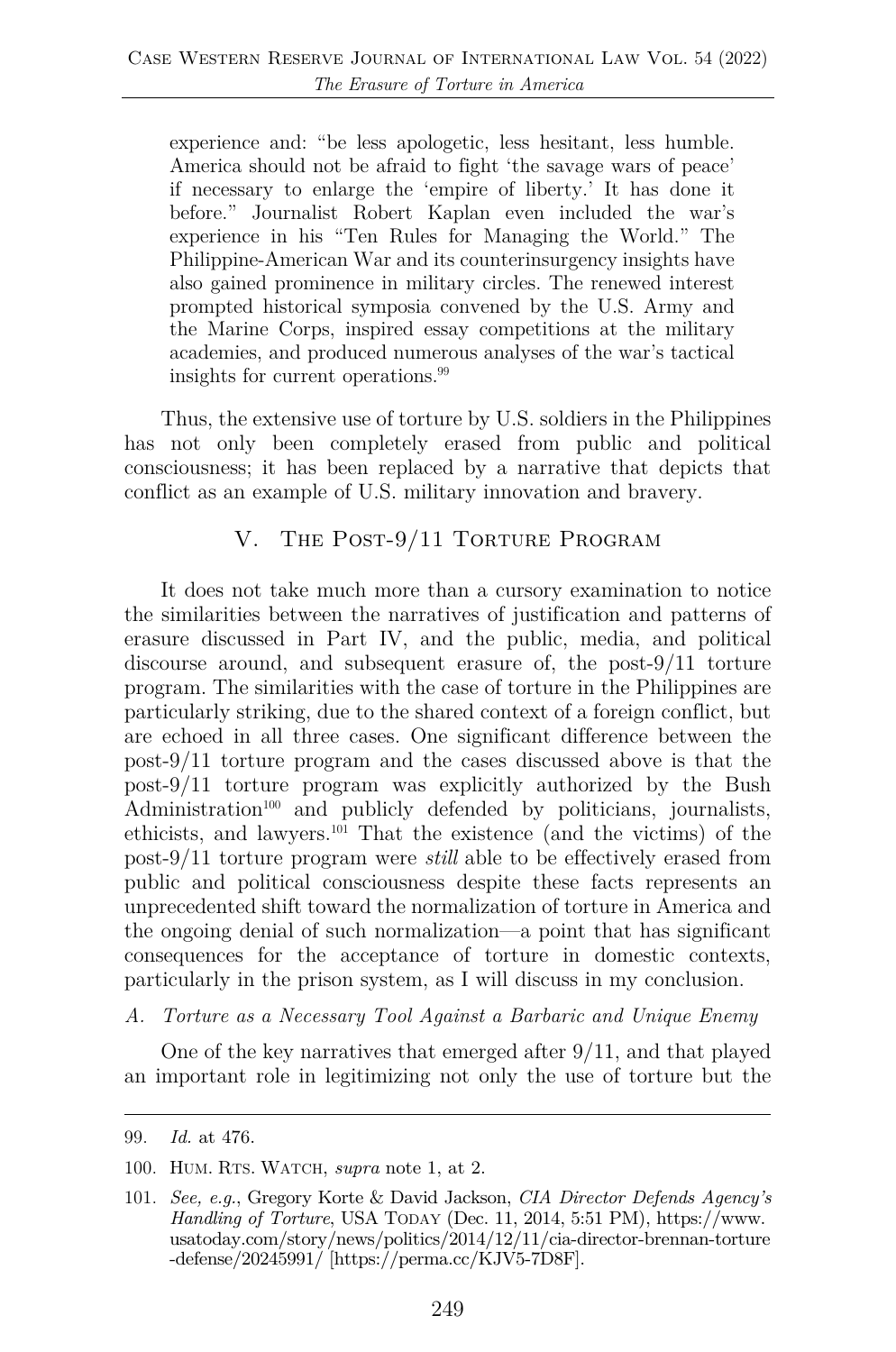experience and: "be less apologetic, less hesitant, less humble. America should not be afraid to fight 'the savage wars of peace' if necessary to enlarge the 'empire of liberty.' It has done it before." Journalist Robert Kaplan even included the war's experience in his "Ten Rules for Managing the World." The Philippine-American War and its counterinsurgency insights have also gained prominence in military circles. The renewed interest prompted historical symposia convened by the U.S. Army and the Marine Corps, inspired essay competitions at the military academies, and produced numerous analyses of the war's tactical insights for current operations.<sup>99</sup>

Thus, the extensive use of torture by U.S. soldiers in the Philippines has not only been completely erased from public and political consciousness; it has been replaced by a narrative that depicts that conflict as an example of U.S. military innovation and bravery.

#### V. The Post-9/11 Torture Program

It does not take much more than a cursory examination to notice the similarities between the narratives of justification and patterns of erasure discussed in Part IV, and the public, media, and political discourse around, and subsequent erasure of, the post-9/11 torture program. The similarities with the case of torture in the Philippines are particularly striking, due to the shared context of a foreign conflict, but are echoed in all three cases. One significant difference between the post-9/11 torture program and the cases discussed above is that the post-9/11 torture program was explicitly authorized by the Bush  $\text{Administration}^{100}$  and publicly defended by politicians, journalists, ethicists, and lawyers.101 That the existence (and the victims) of the post-9/11 torture program were *still* able to be effectively erased from public and political consciousness despite these facts represents an unprecedented shift toward the normalization of torture in America and the ongoing denial of such normalization—a point that has significant consequences for the acceptance of torture in domestic contexts, particularly in the prison system, as I will discuss in my conclusion.

#### *A. Torture as a Necessary Tool Against a Barbaric and Unique Enemy*

One of the key narratives that emerged after 9/11, and that played an important role in legitimizing not only the use of torture but the

100. HUM. RTS. WATCH, *supra* note 1, at 2.

<sup>99.</sup> *Id.* at 476.

<sup>101.</sup> *See, e.g.*, Gregory Korte & David Jackson, *CIA Director Defends Agency's Handling of Torture*, USA TODAY (Dec. 11, 2014, 5:51 PM), https://www. usatoday.com/story/news/politics/2014/12/11/cia-director-brennan-torture -defense/20245991/ [https://perma.cc/KJV5-7D8F].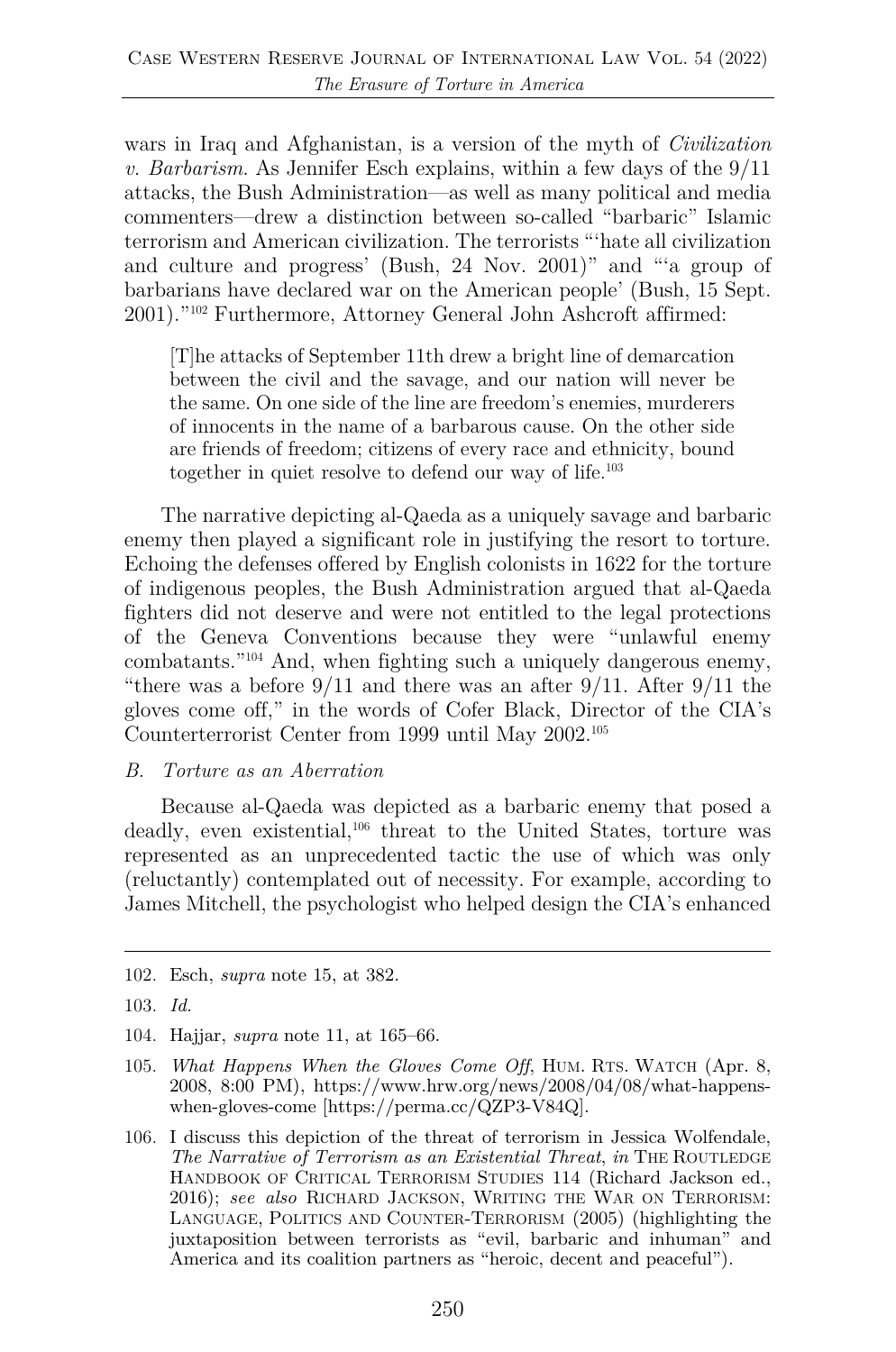wars in Iraq and Afghanistan, is a version of the myth of *Civilization v. Barbarism*. As Jennifer Esch explains, within a few days of the 9/11 attacks, the Bush Administration—as well as many political and media commenters—drew a distinction between so-called "barbaric" Islamic terrorism and American civilization. The terrorists "'hate all civilization and culture and progress' (Bush, 24 Nov. 2001)" and "'a group of barbarians have declared war on the American people' (Bush, 15 Sept. 2001)."102 Furthermore, Attorney General John Ashcroft affirmed:

[T]he attacks of September 11th drew a bright line of demarcation between the civil and the savage, and our nation will never be the same. On one side of the line are freedom's enemies, murderers of innocents in the name of a barbarous cause. On the other side are friends of freedom; citizens of every race and ethnicity, bound together in quiet resolve to defend our way of life.103

The narrative depicting al-Qaeda as a uniquely savage and barbaric enemy then played a significant role in justifying the resort to torture. Echoing the defenses offered by English colonists in 1622 for the torture of indigenous peoples, the Bush Administration argued that al-Qaeda fighters did not deserve and were not entitled to the legal protections of the Geneva Conventions because they were "unlawful enemy combatants."104 And, when fighting such a uniquely dangerous enemy, "there was a before  $9/11$  and there was an after  $9/11$ . After  $9/11$  the gloves come off," in the words of Cofer Black, Director of the CIA's Counterterrorist Center from 1999 until May 2002. 105

#### *B. Torture as an Aberration*

Because al-Qaeda was depicted as a barbaric enemy that posed a deadly, even existential,<sup>106</sup> threat to the United States, torture was represented as an unprecedented tactic the use of which was only (reluctantly) contemplated out of necessity. For example, according to James Mitchell, the psychologist who helped design the CIA's enhanced

- 105. *What Happens When the Gloves Come Off*, HUM. RTS. WATCH (Apr. 8, 2008, 8:00 PM), https://www.hrw.org/news/2008/04/08/what-happenswhen-gloves-come [https://perma.cc/QZP3-V84Q].
- 106. I discuss this depiction of the threat of terrorism in Jessica Wolfendale, *The Narrative of Terrorism as an Existential Threat*, *in* THE ROUTLEDGE HANDBOOK OF CRITICAL TERRORISM STUDIES 114 (Richard Jackson ed., 2016); *see also* RICHARD JACKSON, WRITING THE WAR ON TERRORISM: LANGUAGE, POLITICS AND COUNTER-TERRORISM (2005) (highlighting the juxtaposition between terrorists as "evil, barbaric and inhuman" and America and its coalition partners as "heroic, decent and peaceful").

<sup>102.</sup> Esch, *supra* note 15, at 382.

<sup>103.</sup> *Id.*

<sup>104.</sup> Hajjar, *supra* note 11, at 165–66.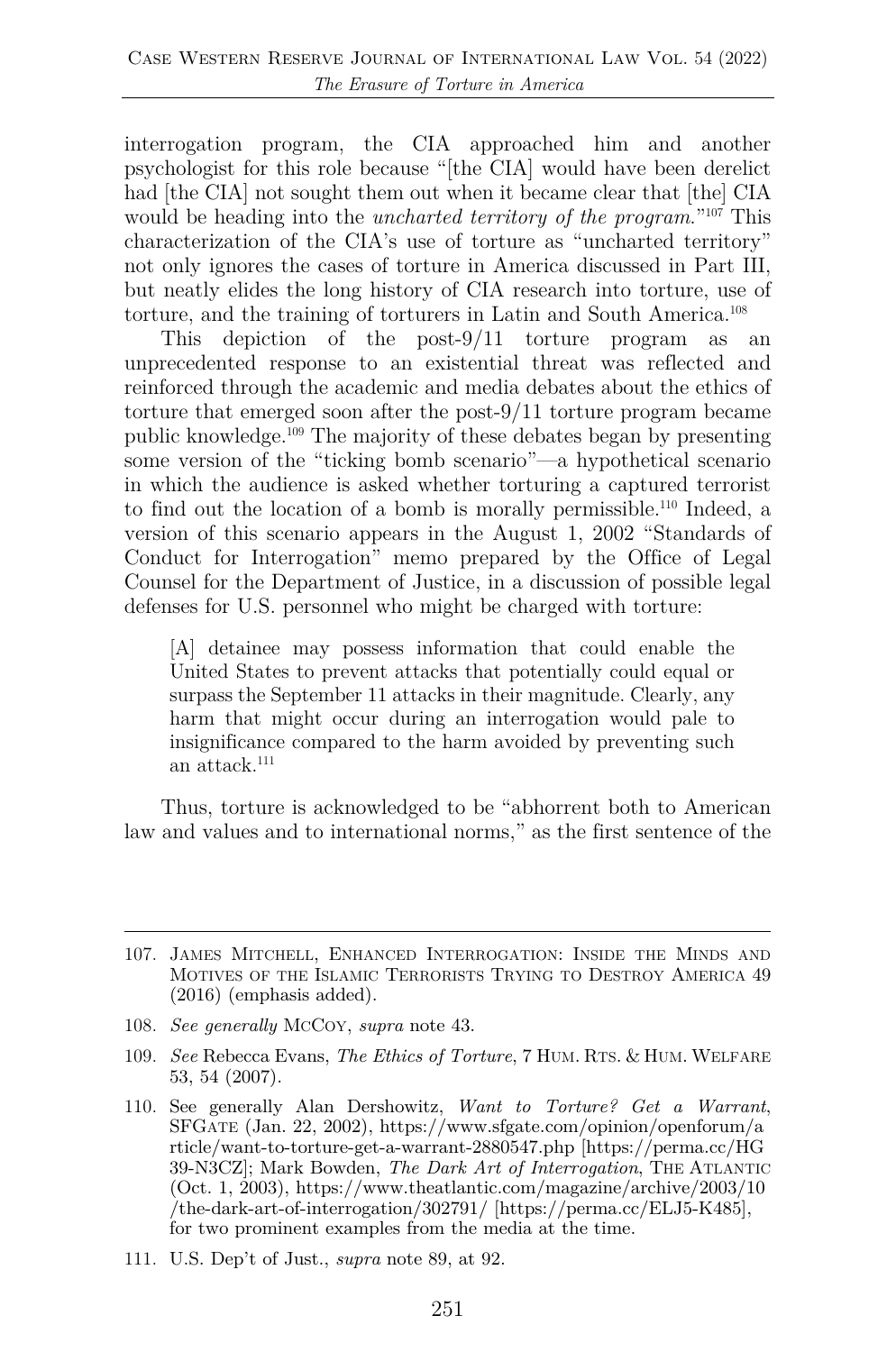interrogation program, the CIA approached him and another psychologist for this role because "[the CIA] would have been derelict had [the CIA] not sought them out when it became clear that [the] CIA would be heading into the *uncharted territory of the program*."107 This characterization of the CIA's use of torture as "uncharted territory" not only ignores the cases of torture in America discussed in Part III, but neatly elides the long history of CIA research into torture, use of torture, and the training of torturers in Latin and South America.108

This depiction of the post-9/11 torture program as an unprecedented response to an existential threat was reflected and reinforced through the academic and media debates about the ethics of torture that emerged soon after the post-9/11 torture program became public knowledge.109 The majority of these debates began by presenting some version of the "ticking bomb scenario"—a hypothetical scenario in which the audience is asked whether torturing a captured terrorist to find out the location of a bomb is morally permissible.<sup>110</sup> Indeed, a version of this scenario appears in the August 1, 2002 "Standards of Conduct for Interrogation" memo prepared by the Office of Legal Counsel for the Department of Justice, in a discussion of possible legal defenses for U.S. personnel who might be charged with torture:

[A] detainee may possess information that could enable the United States to prevent attacks that potentially could equal or surpass the September 11 attacks in their magnitude. Clearly, any harm that might occur during an interrogation would pale to insignificance compared to the harm avoided by preventing such an attack.111

Thus, torture is acknowledged to be "abhorrent both to American law and values and to international norms," as the first sentence of the

<sup>107.</sup> JAMES MITCHELL, ENHANCED INTERROGATION: INSIDE THE MINDS AND MOTIVES OF THE ISLAMIC TERRORISTS TRYING TO DESTROY AMERICA 49 (2016) (emphasis added).

<sup>108.</sup> *See generally* MCCOY, *supra* note 43.

<sup>109.</sup> *See* Rebecca Evans, *The Ethics of Torture*, 7 HUM. RTS. & HUM. WELFARE 53, 54 (2007).

<sup>110.</sup> See generally Alan Dershowitz, *Want to Torture? Get a Warrant*, SFGATE (Jan. 22, 2002), https://www.sfgate.com/opinion/openforum/a rticle/want-to-torture-get-a-warrant-2880547.php [https://perma.cc/HG 39-N3CZ]; Mark Bowden, *The Dark Art of Interrogation*, THE ATLANTIC (Oct. 1, 2003), https://www.theatlantic.com/magazine/archive/2003/10 /the-dark-art-of-interrogation/302791/ [https://perma.cc/ELJ5-K485], for two prominent examples from the media at the time.

<sup>111.</sup> U.S. Dep't of Just., *supra* note 89, at 92.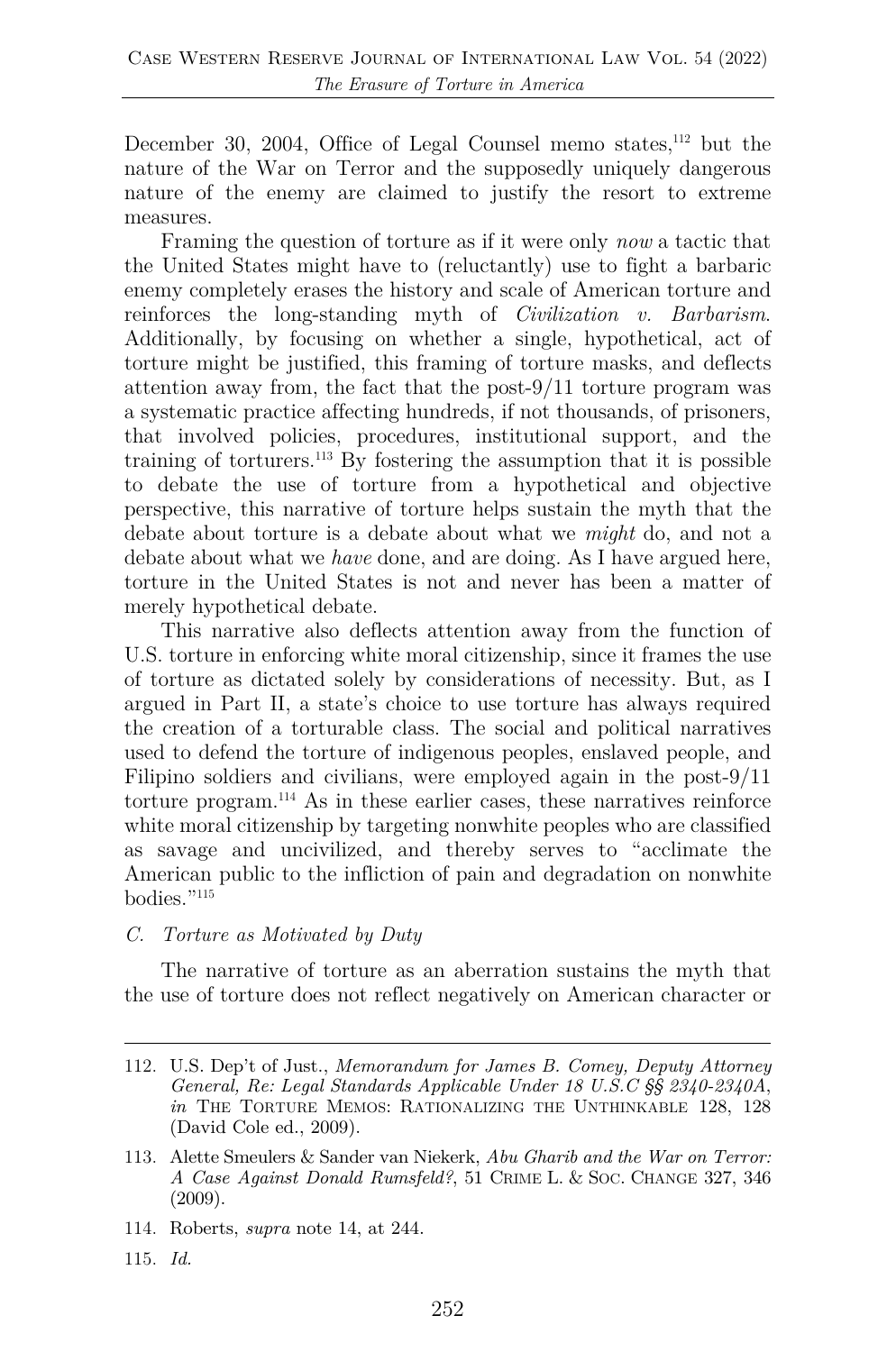December 30, 2004, Office of Legal Counsel memo states,<sup>112</sup> but the nature of the War on Terror and the supposedly uniquely dangerous nature of the enemy are claimed to justify the resort to extreme measures.

Framing the question of torture as if it were only *now* a tactic that the United States might have to (reluctantly) use to fight a barbaric enemy completely erases the history and scale of American torture and reinforces the long-standing myth of *Civilization v. Barbarism*. Additionally, by focusing on whether a single, hypothetical, act of torture might be justified, this framing of torture masks, and deflects attention away from, the fact that the post-9/11 torture program was a systematic practice affecting hundreds, if not thousands, of prisoners, that involved policies, procedures, institutional support, and the training of torturers.113 By fostering the assumption that it is possible to debate the use of torture from a hypothetical and objective perspective, this narrative of torture helps sustain the myth that the debate about torture is a debate about what we *might* do, and not a debate about what we *have* done, and are doing. As I have argued here, torture in the United States is not and never has been a matter of merely hypothetical debate.

This narrative also deflects attention away from the function of U.S. torture in enforcing white moral citizenship, since it frames the use of torture as dictated solely by considerations of necessity. But, as I argued in Part II, a state's choice to use torture has always required the creation of a torturable class. The social and political narratives used to defend the torture of indigenous peoples, enslaved people, and Filipino soldiers and civilians, were employed again in the post-9/11 torture program. <sup>114</sup> As in these earlier cases, these narratives reinforce white moral citizenship by targeting nonwhite peoples who are classified as savage and uncivilized, and thereby serves to "acclimate the American public to the infliction of pain and degradation on nonwhite bodies."115

*C. Torture as Motivated by Duty* 

The narrative of torture as an aberration sustains the myth that the use of torture does not reflect negatively on American character or

- 114. Roberts, *supra* note 14, at 244.
- 115. *Id.*

<sup>112.</sup> U.S. Dep't of Just., *Memorandum for James B. Comey, Deputy Attorney General, Re: Legal Standards Applicable Under 18 U.S.C §§ 2340-2340A*, *in* THE TORTURE MEMOS: RATIONALIZING THE UNTHINKABLE 128, 128 (David Cole ed., 2009).

<sup>113.</sup> Alette Smeulers & Sander van Niekerk, *Abu Gharib and the War on Terror: A Case Against Donald Rumsfeld?*, 51 CRIME L. & SOC. CHANGE 327, 346 (2009).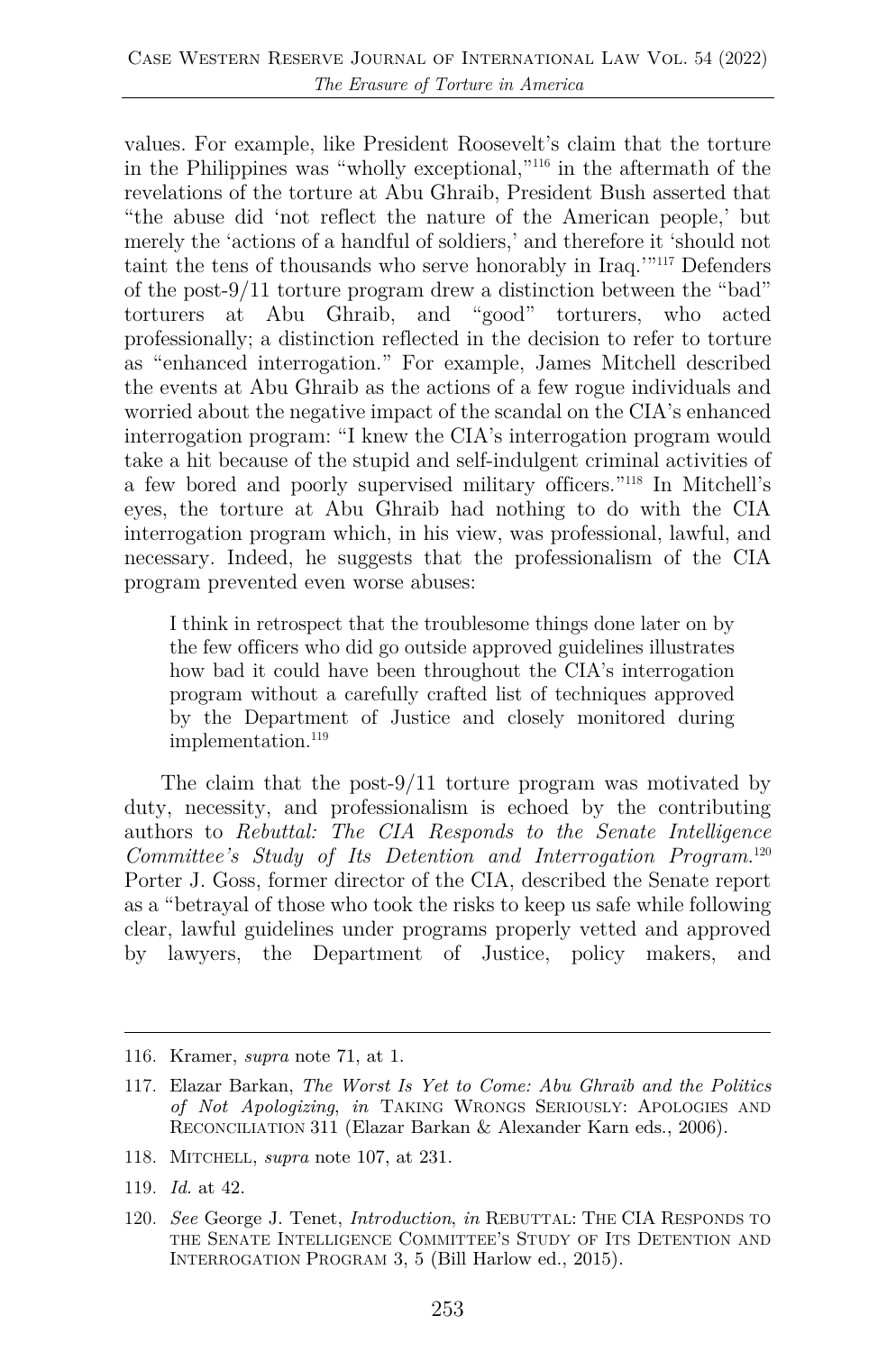values. For example, like President Roosevelt's claim that the torture in the Philippines was "wholly exceptional,"116 in the aftermath of the revelations of the torture at Abu Ghraib, President Bush asserted that "the abuse did 'not reflect the nature of the American people,' but merely the 'actions of a handful of soldiers,' and therefore it 'should not taint the tens of thousands who serve honorably in Iraq.'"117 Defenders of the post-9/11 torture program drew a distinction between the "bad" torturers at Abu Ghraib, and "good" torturers, who acted professionally; a distinction reflected in the decision to refer to torture as "enhanced interrogation." For example, James Mitchell described the events at Abu Ghraib as the actions of a few rogue individuals and worried about the negative impact of the scandal on the CIA's enhanced interrogation program: "I knew the CIA's interrogation program would take a hit because of the stupid and self-indulgent criminal activities of a few bored and poorly supervised military officers."118 In Mitchell's eyes, the torture at Abu Ghraib had nothing to do with the CIA interrogation program which, in his view, was professional, lawful, and necessary. Indeed, he suggests that the professionalism of the CIA program prevented even worse abuses:

I think in retrospect that the troublesome things done later on by the few officers who did go outside approved guidelines illustrates how bad it could have been throughout the CIA's interrogation program without a carefully crafted list of techniques approved by the Department of Justice and closely monitored during implementation.<sup>119</sup>

The claim that the post-9/11 torture program was motivated by duty, necessity, and professionalism is echoed by the contributing authors to *Rebuttal: The CIA Responds to the Senate Intelligence Committee's Study of Its Detention and Interrogation Program*. 120 Porter J. Goss, former director of the CIA, described the Senate report as a "betrayal of those who took the risks to keep us safe while following clear, lawful guidelines under programs properly vetted and approved by lawyers, the Department of Justice, policy makers, and

- 118. MITCHELL, *supra* note 107, at 231.
- 119. *Id.* at 42.

<sup>116.</sup> Kramer, *supra* note 71, at 1.

<sup>117.</sup> Elazar Barkan, *The Worst Is Yet to Come: Abu Ghraib and the Politics of Not Apologizing*, *in* TAKING WRONGS SERIOUSLY: APOLOGIES AND RECONCILIATION 311 (Elazar Barkan & Alexander Karn eds., 2006).

<sup>120.</sup> *See* George J. Tenet, *Introduction*, *in* REBUTTAL: THE CIA RESPONDS TO THE SENATE INTELLIGENCE COMMITTEE'S STUDY OF ITS DETENTION AND INTERROGATION PROGRAM 3, 5 (Bill Harlow ed., 2015).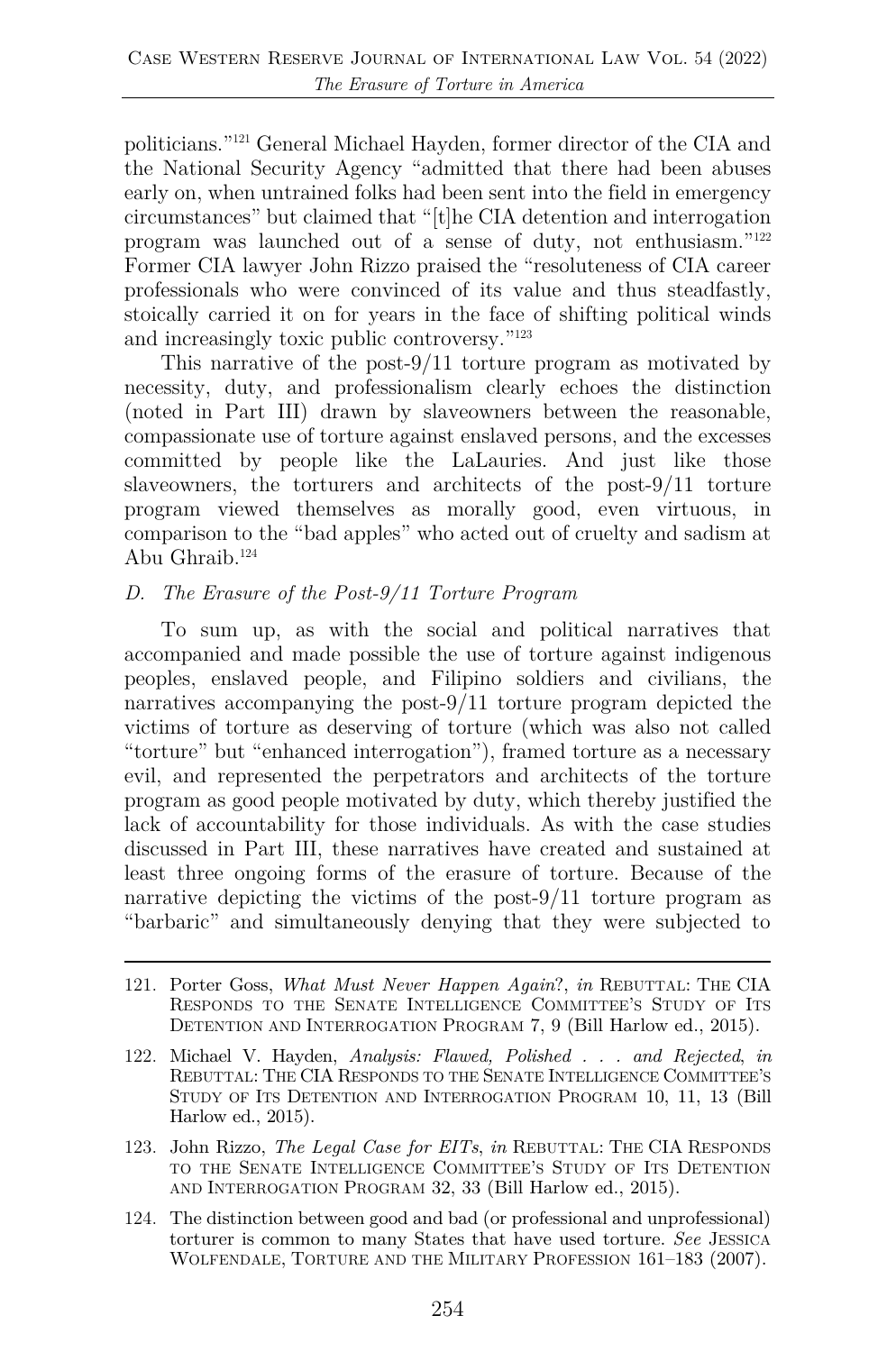politicians."121 General Michael Hayden, former director of the CIA and the National Security Agency "admitted that there had been abuses early on, when untrained folks had been sent into the field in emergency circumstances" but claimed that "[t]he CIA detention and interrogation program was launched out of a sense of duty, not enthusiasm."122 Former CIA lawyer John Rizzo praised the "resoluteness of CIA career professionals who were convinced of its value and thus steadfastly, stoically carried it on for years in the face of shifting political winds and increasingly toxic public controversy."123

This narrative of the post-9/11 torture program as motivated by necessity, duty, and professionalism clearly echoes the distinction (noted in Part III) drawn by slaveowners between the reasonable, compassionate use of torture against enslaved persons, and the excesses committed by people like the LaLauries. And just like those slaveowners, the torturers and architects of the post-9/11 torture program viewed themselves as morally good, even virtuous, in comparison to the "bad apples" who acted out of cruelty and sadism at Abu Ghraib.<sup>124</sup>

#### *D. The Erasure of the Post-9/11 Torture Program*

To sum up, as with the social and political narratives that accompanied and made possible the use of torture against indigenous peoples, enslaved people, and Filipino soldiers and civilians, the narratives accompanying the post-9/11 torture program depicted the victims of torture as deserving of torture (which was also not called "torture" but "enhanced interrogation"), framed torture as a necessary evil, and represented the perpetrators and architects of the torture program as good people motivated by duty, which thereby justified the lack of accountability for those individuals. As with the case studies discussed in Part III, these narratives have created and sustained at least three ongoing forms of the erasure of torture. Because of the narrative depicting the victims of the post-9/11 torture program as "barbaric" and simultaneously denying that they were subjected to

- 121. Porter Goss, *What Must Never Happen Again*?, *in* REBUTTAL: THE CIA RESPONDS TO THE SENATE INTELLIGENCE COMMITTEE'S STUDY OF ITS DETENTION AND INTERROGATION PROGRAM 7, 9 (Bill Harlow ed., 2015).
- 122. Michael V. Hayden, *Analysis: Flawed, Polished . . . and Rejected*, *in* REBUTTAL: THE CIA RESPONDS TO THE SENATE INTELLIGENCE COMMITTEE'S STUDY OF ITS DETENTION AND INTERROGATION PROGRAM 10, 11, 13 (Bill Harlow ed., 2015).
- 123. John Rizzo, *The Legal Case for EITs*, *in* REBUTTAL: THE CIA RESPONDS TO THE SENATE INTELLIGENCE COMMITTEE'S STUDY OF ITS DETENTION AND INTERROGATION PROGRAM 32, 33 (Bill Harlow ed., 2015).
- 124. The distinction between good and bad (or professional and unprofessional) torturer is common to many States that have used torture. *See* JESSICA WOLFENDALE, TORTURE AND THE MILITARY PROFESSION 161–183 (2007).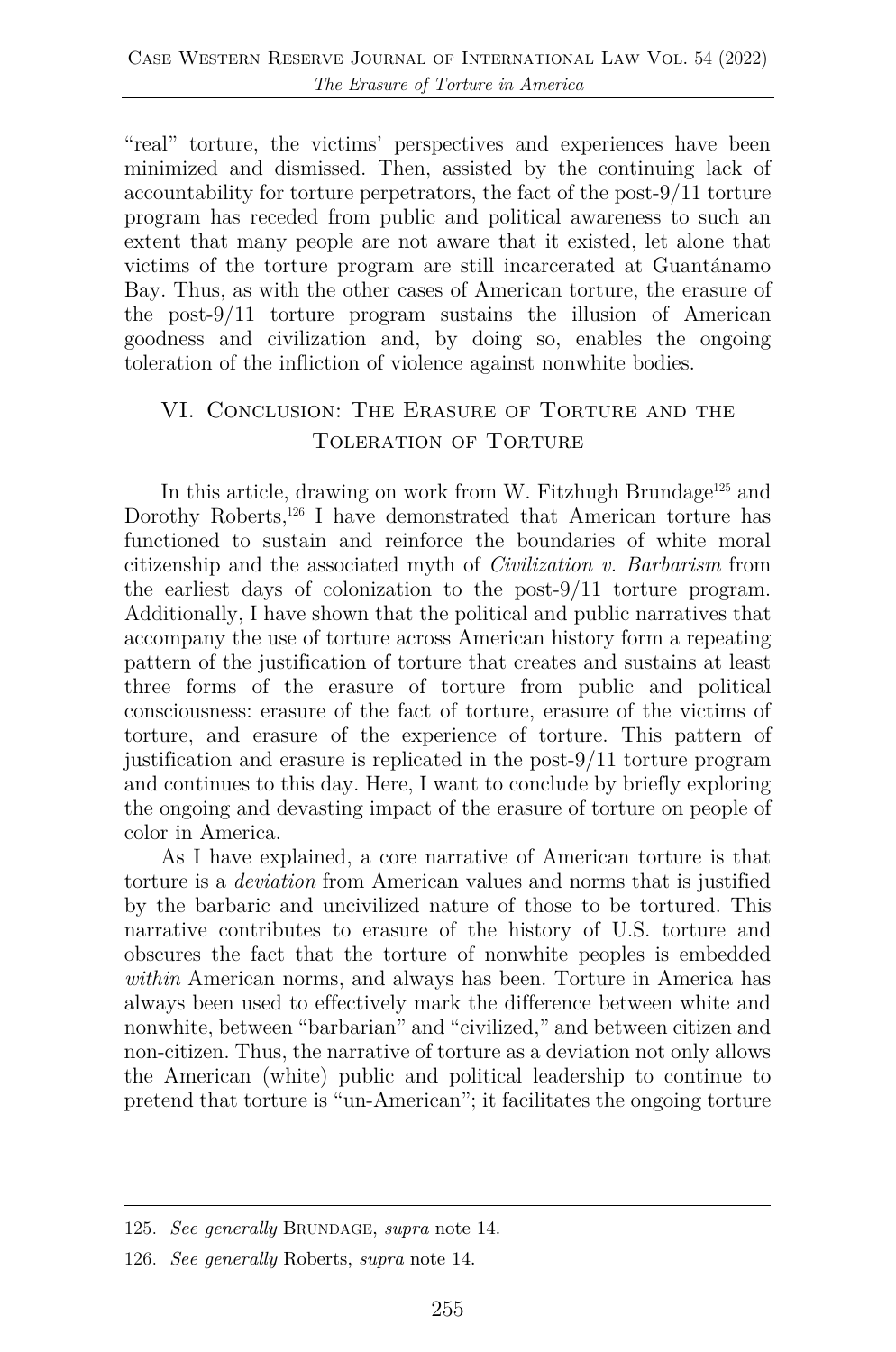"real" torture, the victims' perspectives and experiences have been minimized and dismissed. Then, assisted by the continuing lack of accountability for torture perpetrators, the fact of the post-9/11 torture program has receded from public and political awareness to such an extent that many people are not aware that it existed, let alone that victims of the torture program are still incarcerated at Guantánamo Bay. Thus, as with the other cases of American torture, the erasure of the post-9/11 torture program sustains the illusion of American goodness and civilization and, by doing so, enables the ongoing toleration of the infliction of violence against nonwhite bodies.

### VI. Conclusion: The Erasure of Torture and the Toleration of Torture

In this article, drawing on work from W. Fitzhugh Brundage<sup>125</sup> and Dorothy Roberts,<sup>126</sup> I have demonstrated that American torture has functioned to sustain and reinforce the boundaries of white moral citizenship and the associated myth of *Civilization v. Barbarism* from the earliest days of colonization to the post-9/11 torture program. Additionally, I have shown that the political and public narratives that accompany the use of torture across American history form a repeating pattern of the justification of torture that creates and sustains at least three forms of the erasure of torture from public and political consciousness: erasure of the fact of torture, erasure of the victims of torture, and erasure of the experience of torture. This pattern of justification and erasure is replicated in the post-9/11 torture program and continues to this day. Here, I want to conclude by briefly exploring the ongoing and devasting impact of the erasure of torture on people of color in America.

As I have explained, a core narrative of American torture is that torture is a *deviation* from American values and norms that is justified by the barbaric and uncivilized nature of those to be tortured. This narrative contributes to erasure of the history of U.S. torture and obscures the fact that the torture of nonwhite peoples is embedded *within* American norms, and always has been. Torture in America has always been used to effectively mark the difference between white and nonwhite, between "barbarian" and "civilized," and between citizen and non-citizen. Thus, the narrative of torture as a deviation not only allows the American (white) public and political leadership to continue to pretend that torture is "un-American"; it facilitates the ongoing torture

<sup>125.</sup> *See generally* BRUNDAGE, *supra* note 14.

<sup>126.</sup> *See generally* Roberts, *supra* note 14.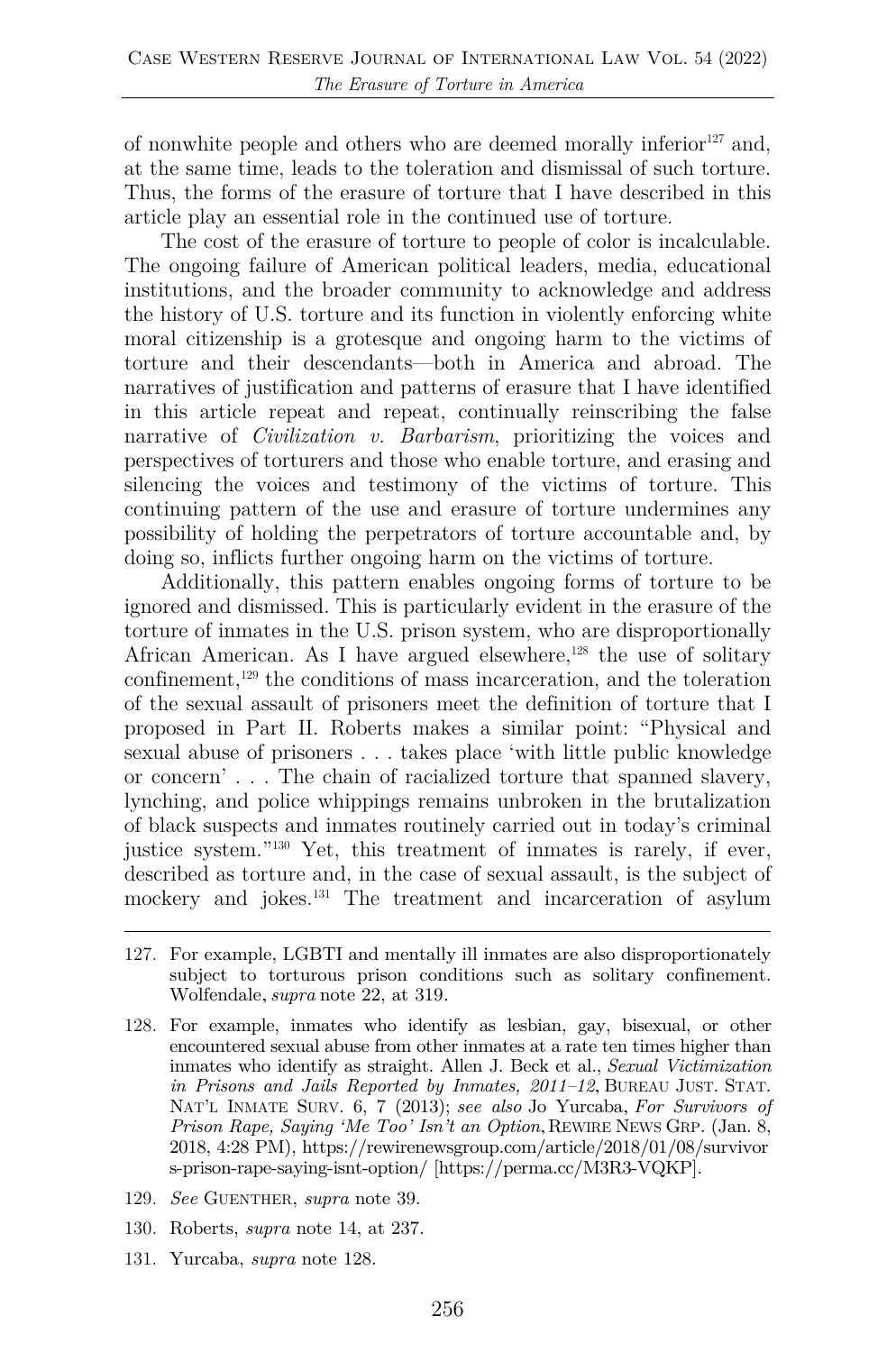of nonwhite people and others who are deemed morally inferior<sup>127</sup> and, at the same time, leads to the toleration and dismissal of such torture. Thus, the forms of the erasure of torture that I have described in this article play an essential role in the continued use of torture.

The cost of the erasure of torture to people of color is incalculable. The ongoing failure of American political leaders, media, educational institutions, and the broader community to acknowledge and address the history of U.S. torture and its function in violently enforcing white moral citizenship is a grotesque and ongoing harm to the victims of torture and their descendants—both in America and abroad. The narratives of justification and patterns of erasure that I have identified in this article repeat and repeat, continually reinscribing the false narrative of *Civilization v. Barbarism*, prioritizing the voices and perspectives of torturers and those who enable torture, and erasing and silencing the voices and testimony of the victims of torture. This continuing pattern of the use and erasure of torture undermines any possibility of holding the perpetrators of torture accountable and, by doing so, inflicts further ongoing harm on the victims of torture.

Additionally, this pattern enables ongoing forms of torture to be ignored and dismissed. This is particularly evident in the erasure of the torture of inmates in the U.S. prison system, who are disproportionally African American. As I have argued elsewhere, $128$  the use of solitary confinement,<sup>129</sup> the conditions of mass incarceration, and the toleration of the sexual assault of prisoners meet the definition of torture that I proposed in Part II. Roberts makes a similar point: "Physical and sexual abuse of prisoners . . . takes place 'with little public knowledge or concern' . . . The chain of racialized torture that spanned slavery, lynching, and police whippings remains unbroken in the brutalization of black suspects and inmates routinely carried out in today's criminal justice system."130 Yet, this treatment of inmates is rarely, if ever, described as torture and, in the case of sexual assault, is the subject of mockery and jokes.131 The treatment and incarceration of asylum

- 127. For example, LGBTI and mentally ill inmates are also disproportionately subject to torturous prison conditions such as solitary confinement. Wolfendale, *supra* note 22, at 319.
- 128. For example, inmates who identify as lesbian, gay, bisexual, or other encountered sexual abuse from other inmates at a rate ten times higher than inmates who identify as straight. Allen J. Beck et al., *Sexual Victimization in Prisons and Jails Reported by Inmates, 2011–12*, BUREAU JUST. STAT. NAT'L INMATE SURV. 6, 7 (2013); *see also* Jo Yurcaba, *For Survivors of Prison Rape, Saying 'Me Too' Isn't an Option*, REWIRE NEWS GRP. (Jan. 8, 2018, 4:28 PM), https://rewirenewsgroup.com/article/2018/01/08/survivor s-prison-rape-saying-isnt-option/ [https://perma.cc/M3R3-VQKP].
- 129. *See* GUENTHER, *supra* note 39.
- 130. Roberts, *supra* note 14, at 237.
- 131. Yurcaba, *supra* note 128.